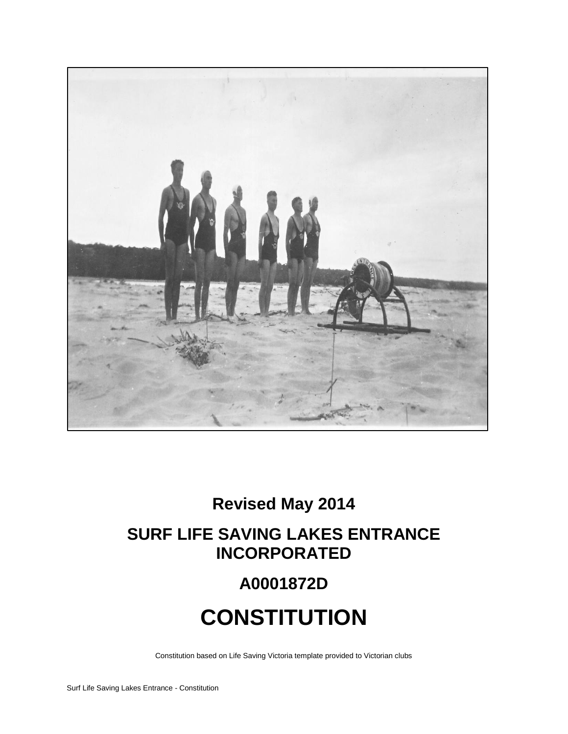

## **Revised May 2014**

## **SURF LIFE SAVING LAKES ENTRANCE INCORPORATED**

## **A0001872D**

# **CONSTITUTION**

Constitution based on Life Saving Victoria template provided to Victorian clubs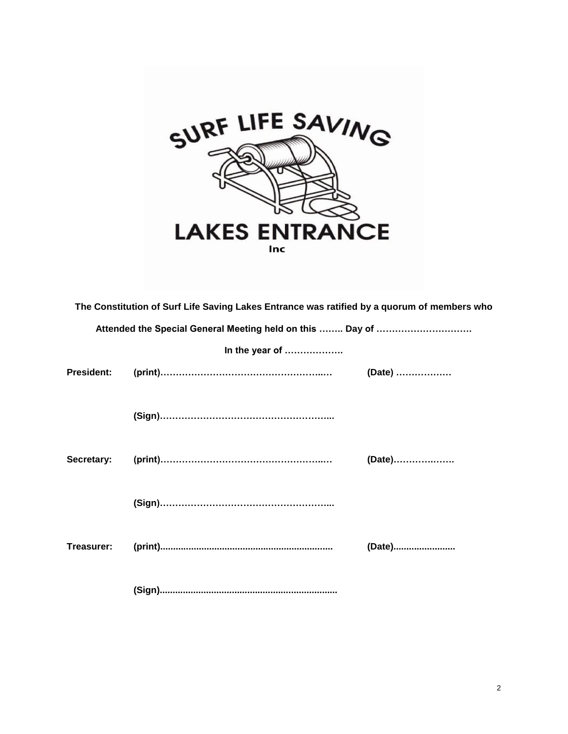

|                   | The Constitution of Surf Life Saving Lakes Entrance was ratified by a quorum of members who |        |
|-------------------|---------------------------------------------------------------------------------------------|--------|
|                   | Attended the Special General Meeting held on this  Day of                                   |        |
|                   | In the year of                                                                              |        |
| <b>President:</b> |                                                                                             | (Date) |
|                   |                                                                                             |        |
| Secretary:        |                                                                                             | (Date) |
|                   |                                                                                             |        |
| Treasurer:        |                                                                                             | (Date) |
|                   |                                                                                             |        |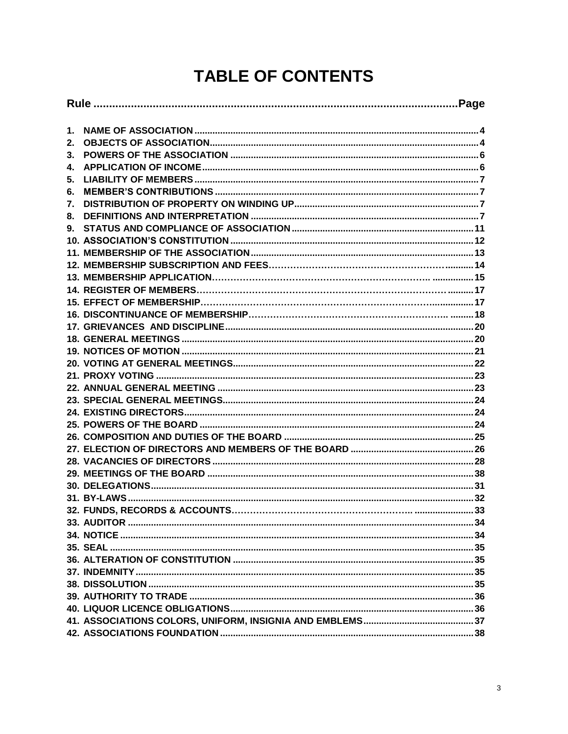## **TABLE OF CONTENTS**

| 1. |  |  |
|----|--|--|
| 2. |  |  |
| 3. |  |  |
| 4. |  |  |
| 5. |  |  |
| 6. |  |  |
| 7. |  |  |
| 8. |  |  |
| 9. |  |  |
|    |  |  |
|    |  |  |
|    |  |  |
|    |  |  |
|    |  |  |
|    |  |  |
|    |  |  |
|    |  |  |
|    |  |  |
|    |  |  |
|    |  |  |
|    |  |  |
|    |  |  |
|    |  |  |
|    |  |  |
|    |  |  |
|    |  |  |
|    |  |  |
|    |  |  |
|    |  |  |
|    |  |  |
|    |  |  |
|    |  |  |
|    |  |  |
|    |  |  |
|    |  |  |
|    |  |  |
|    |  |  |
|    |  |  |
|    |  |  |
|    |  |  |
|    |  |  |
|    |  |  |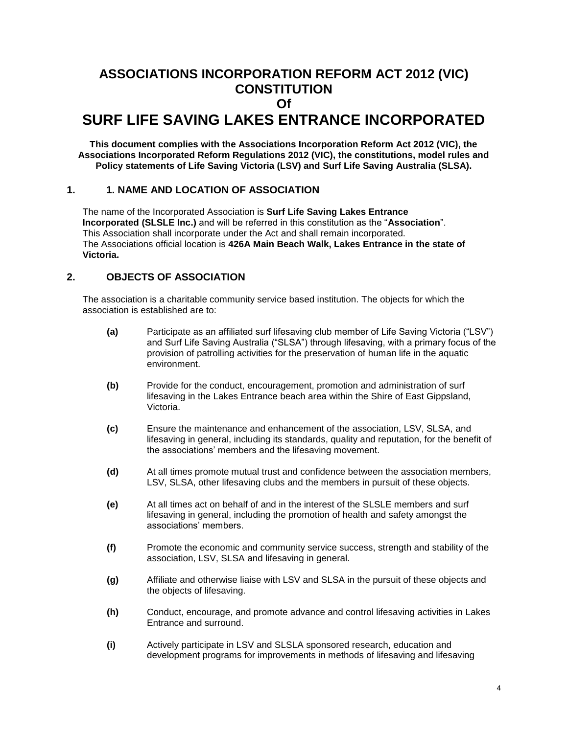## **ASSOCIATIONS INCORPORATION REFORM ACT 2012 (VIC) CONSTITUTION Of SURF LIFE SAVING LAKES ENTRANCE INCORPORATED**

**This document complies with the Associations Incorporation Reform Act 2012 (VIC), the Associations Incorporated Reform Regulations 2012 (VIC), the constitutions, model rules and Policy statements of Life Saving Victoria (LSV) and Surf Life Saving Australia (SLSA).**

## **1. 1. NAME AND LOCATION OF ASSOCIATION**

The name of the Incorporated Association is **Surf Life Saving Lakes Entrance Incorporated (SLSLE Inc.)** and will be referred in this constitution as the "**Association**". This Association shall incorporate under the Act and shall remain incorporated. The Associations official location is **426A Main Beach Walk, Lakes Entrance in the state of Victoria.**

## <span id="page-3-0"></span>**2. OBJECTS OF ASSOCIATION**

The association is a charitable community service based institution. The objects for which the association is established are to:

- **(a)** Participate as an affiliated surf lifesaving club member of Life Saving Victoria ("LSV") and Surf Life Saving Australia ("SLSA") through lifesaving, with a primary focus of the provision of patrolling activities for the preservation of human life in the aquatic environment.
- **(b)** Provide for the conduct, encouragement, promotion and administration of surf lifesaving in the Lakes Entrance beach area within the Shire of East Gippsland, Victoria.
- **(c)** Ensure the maintenance and enhancement of the association, LSV, SLSA, and lifesaving in general, including its standards, quality and reputation, for the benefit of the associations' members and the lifesaving movement.
- **(d)** At all times promote mutual trust and confidence between the association members, LSV, SLSA, other lifesaving clubs and the members in pursuit of these objects.
- **(e)** At all times act on behalf of and in the interest of the SLSLE members and surf lifesaving in general, including the promotion of health and safety amongst the associations' members.
- **(f)** Promote the economic and community service success, strength and stability of the association, LSV, SLSA and lifesaving in general.
- **(g)** Affiliate and otherwise liaise with LSV and SLSA in the pursuit of these objects and the objects of lifesaving.
- **(h)** Conduct, encourage, and promote advance and control lifesaving activities in Lakes Entrance and surround.
- **(i)** Actively participate in LSV and SLSLA sponsored research, education and development programs for improvements in methods of lifesaving and lifesaving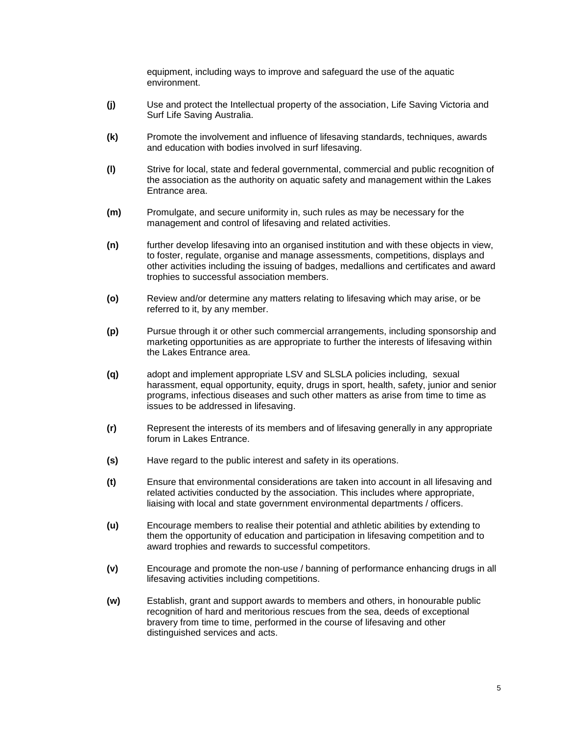equipment, including ways to improve and safeguard the use of the aquatic environment.

- **(j)** Use and protect the Intellectual property of the association, Life Saving Victoria and Surf Life Saving Australia.
- **(k)** Promote the involvement and influence of lifesaving standards, techniques, awards and education with bodies involved in surf lifesaving.
- **(l)** Strive for local, state and federal governmental, commercial and public recognition of the association as the authority on aquatic safety and management within the Lakes Entrance area.
- **(m)** Promulgate, and secure uniformity in, such rules as may be necessary for the management and control of lifesaving and related activities.
- **(n)** further develop lifesaving into an organised institution and with these objects in view, to foster, regulate, organise and manage assessments, competitions, displays and other activities including the issuing of badges, medallions and certificates and award trophies to successful association members.
- **(o)** Review and/or determine any matters relating to lifesaving which may arise, or be referred to it, by any member.
- **(p)** Pursue through it or other such commercial arrangements, including sponsorship and marketing opportunities as are appropriate to further the interests of lifesaving within the Lakes Entrance area.
- **(q)** adopt and implement appropriate LSV and SLSLA policies including, sexual harassment, equal opportunity, equity, drugs in sport, health, safety, junior and senior programs, infectious diseases and such other matters as arise from time to time as issues to be addressed in lifesaving.
- **(r)** Represent the interests of its members and of lifesaving generally in any appropriate forum in Lakes Entrance.
- **(s)** Have regard to the public interest and safety in its operations.
- **(t)** Ensure that environmental considerations are taken into account in all lifesaving and related activities conducted by the association. This includes where appropriate, liaising with local and state government environmental departments / officers.
- **(u)** Encourage members to realise their potential and athletic abilities by extending to them the opportunity of education and participation in lifesaving competition and to award trophies and rewards to successful competitors.
- **(v)** Encourage and promote the non-use / banning of performance enhancing drugs in all lifesaving activities including competitions.
- **(w)** Establish, grant and support awards to members and others, in honourable public recognition of hard and meritorious rescues from the sea, deeds of exceptional bravery from time to time, performed in the course of lifesaving and other distinguished services and acts.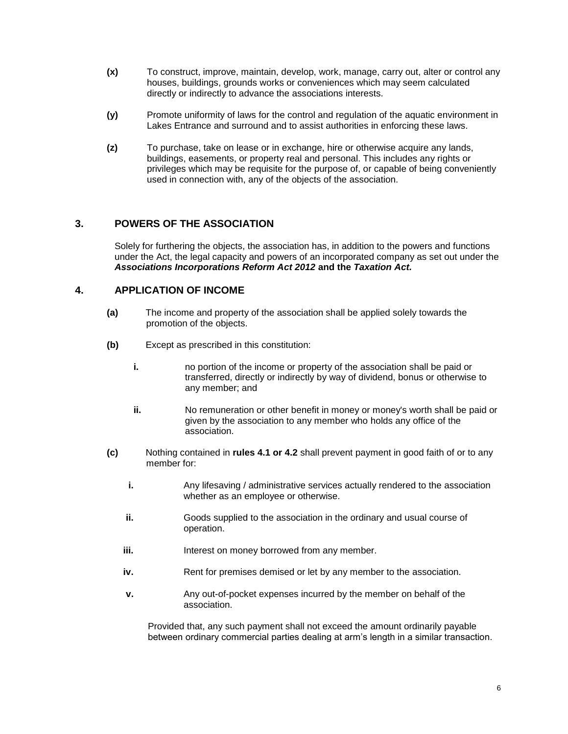- **(x)** To construct, improve, maintain, develop, work, manage, carry out, alter or control any houses, buildings, grounds works or conveniences which may seem calculated directly or indirectly to advance the associations interests.
- **(y)** Promote uniformity of laws for the control and regulation of the aquatic environment in Lakes Entrance and surround and to assist authorities in enforcing these laws.
- **(z)** To purchase, take on lease or in exchange, hire or otherwise acquire any lands, buildings, easements, or property real and personal. This includes any rights or privileges which may be requisite for the purpose of, or capable of being conveniently used in connection with, any of the objects of the association.

## <span id="page-5-0"></span>**3. POWERS OF THE ASSOCIATION**

Solely for furthering the objects, the association has, in addition to the powers and functions under the Act, the legal capacity and powers of an incorporated company as set out under the *Associations Incorporations Reform Act 2012* **and the** *Taxation Act.*

## <span id="page-5-1"></span>**4. APPLICATION OF INCOME**

- **(a)** The income and property of the association shall be applied solely towards the promotion of the objects.
- **(b)** Except as prescribed in this constitution:
	- **i.** no portion of the income or property of the association shall be paid or transferred, directly or indirectly by way of dividend, bonus or otherwise to any member; and
	- **ii.** No remuneration or other benefit in money or money's worth shall be paid or given by the association to any member who holds any office of the association.
- **(c)** Nothing contained in **rules 4.1 or 4.2** shall prevent payment in good faith of or to any member for:
	- **i.** Any lifesaving / administrative services actually rendered to the association whether as an employee or otherwise.
	- **ii.** Goods supplied to the association in the ordinary and usual course of operation.
	- **iii.** Interest on money borrowed from any member.
	- **iv.** Rent for premises demised or let by any member to the association.
	- **v.** Any out-of-pocket expenses incurred by the member on behalf of the association.

Provided that, any such payment shall not exceed the amount ordinarily payable between ordinary commercial parties dealing at arm's length in a similar transaction.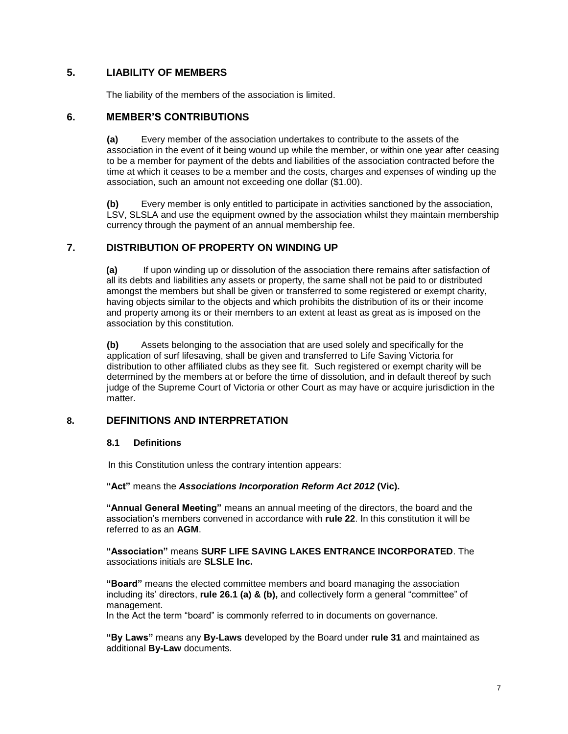## <span id="page-6-0"></span>**5. LIABILITY OF MEMBERS**

The liability of the members of the association is limited.

## <span id="page-6-1"></span>**6. MEMBER'S CONTRIBUTIONS**

**(a)** Every member of the association undertakes to contribute to the assets of the association in the event of it being wound up while the member, or within one year after ceasing to be a member for payment of the debts and liabilities of the association contracted before the time at which it ceases to be a member and the costs, charges and expenses of winding up the association, such an amount not exceeding one dollar (\$1.00).

**(b)** Every member is only entitled to participate in activities sanctioned by the association, LSV, SLSLA and use the equipment owned by the association whilst they maintain membership currency through the payment of an annual membership fee.

## <span id="page-6-2"></span>**7. DISTRIBUTION OF PROPERTY ON WINDING UP**

**(a)** If upon winding up or dissolution of the association there remains after satisfaction of all its debts and liabilities any assets or property, the same shall not be paid to or distributed amongst the members but shall be given or transferred to some registered or exempt charity, having objects similar to the objects and which prohibits the distribution of its or their income and property among its or their members to an extent at least as great as is imposed on the association by this constitution.

**(b)** Assets belonging to the association that are used solely and specifically for the application of surf lifesaving, shall be given and transferred to Life Saving Victoria for distribution to other affiliated clubs as they see fit. Such registered or exempt charity will be determined by the members at or before the time of dissolution, and in default thereof by such judge of the Supreme Court of Victoria or other Court as may have or acquire jurisdiction in the matter.

## <span id="page-6-3"></span>**8. DEFINITIONS AND INTERPRETATION**

#### **8.1 Definitions**

In this Constitution unless the contrary intention appears:

#### **"Act"** means the *Associations Incorporation Reform Act 2012* **(Vic).**

**"Annual General Meeting"** means an annual meeting of the directors, the board and the association's members convened in accordance with **rule 22**. In this constitution it will be referred to as an **AGM**.

**"Association"** means **SURF LIFE SAVING LAKES ENTRANCE INCORPORATED**. The associations initials are **SLSLE Inc.**

**"Board"** means the elected committee members and board managing the association including its' directors, **rule 26.1 (a) & (b),** and collectively form a general "committee" of management.

In the Act the term "board" is commonly referred to in documents on governance.

**"By Laws"** means any **By-Laws** developed by the Board under **rule 31** and maintained as additional **By-Law** documents.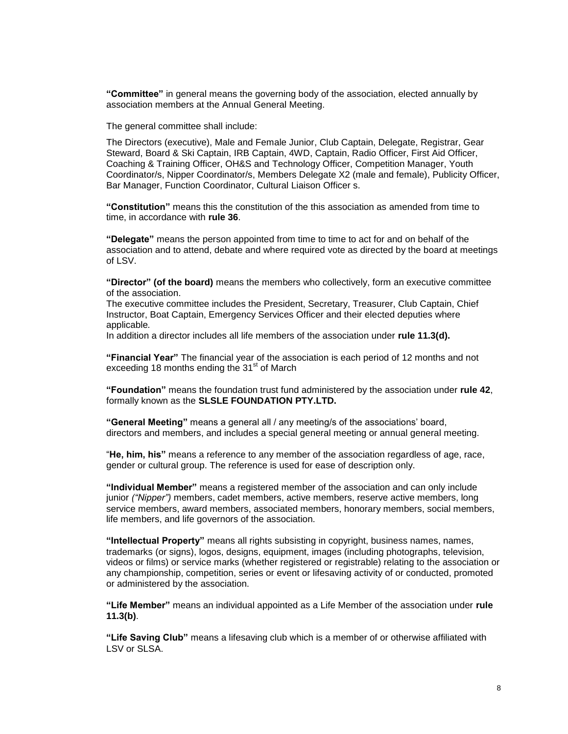**"Committee"** in general means the governing body of the association, elected annually by association members at the Annual General Meeting.

The general committee shall include:

The Directors (executive), Male and Female Junior, Club Captain, Delegate, Registrar, Gear Steward, Board & Ski Captain, IRB Captain, 4WD, Captain, Radio Officer, First Aid Officer, Coaching & Training Officer, OH&S and Technology Officer, Competition Manager, Youth Coordinator/s, Nipper Coordinator/s, Members Delegate X2 (male and female), Publicity Officer, Bar Manager, Function Coordinator, Cultural Liaison Officer s.

**"Constitution"** means this the constitution of the this association as amended from time to time, in accordance with **rule 36**.

**"Delegate"** means the person appointed from time to time to act for and on behalf of the association and to attend, debate and where required vote as directed by the board at meetings of LSV.

**"Director" (of the board)** means the members who collectively, form an executive committee of the association.

The executive committee includes the President, Secretary, Treasurer, Club Captain, Chief Instructor, Boat Captain, Emergency Services Officer and their elected deputies where applicable*.*

In addition a director includes all life members of the association under **rule 11.3(d).**

**"Financial Year"** The financial year of the association is each period of 12 months and not exceeding 18 months ending the  $31<sup>st</sup>$  of March

**"Foundation"** means the foundation trust fund administered by the association under **rule 42**, formally known as the **SLSLE FOUNDATION PTY.LTD.**

**"General Meeting"** means a general all / any meeting/s of the associations' board, directors and members, and includes a special general meeting or annual general meeting.

"**He, him, his"** means a reference to any member of the association regardless of age, race, gender or cultural group. The reference is used for ease of description only.

**"Individual Member"** means a registered member of the association and can only include junior *("Nipper")* members, cadet members, active members, reserve active members, long service members, award members, associated members, honorary members, social members, life members, and life governors of the association.

**"Intellectual Property"** means all rights subsisting in copyright, business names, names, trademarks (or signs), logos, designs, equipment, images (including photographs, television, videos or films) or service marks (whether registered or registrable) relating to the association or any championship, competition, series or event or lifesaving activity of or conducted, promoted or administered by the association.

**"Life Member"** means an individual appointed as a Life Member of the association under **rule 11.3(b)**.

**"Life Saving Club"** means a lifesaving club which is a member of or otherwise affiliated with LSV or SLSA.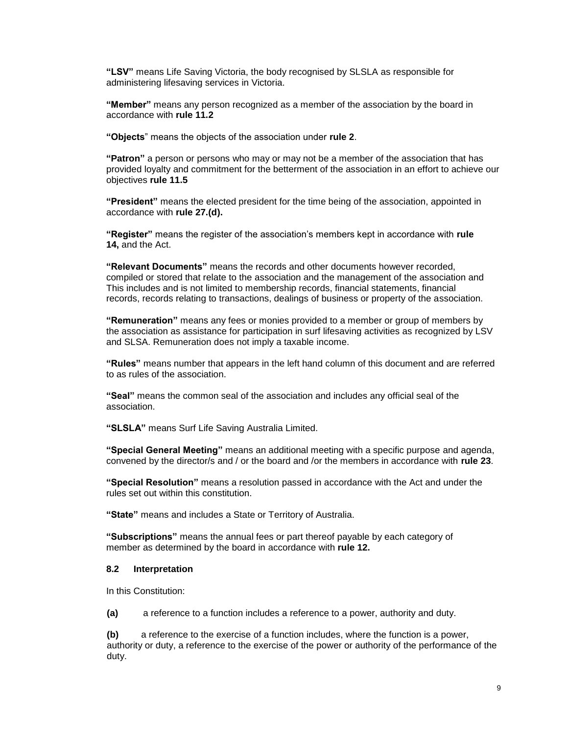**"LSV"** means Life Saving Victoria, the body recognised by SLSLA as responsible for administering lifesaving services in Victoria.

**"Member"** means any person recognized as a member of the association by the board in accordance with **rule 11.2**

**"Objects**" means the objects of the association under **rule 2**.

**"Patron"** a person or persons who may or may not be a member of the association that has provided loyalty and commitment for the betterment of the association in an effort to achieve our objectives **rule 11.5**

**"President"** means the elected president for the time being of the association, appointed in accordance with **rule 27.(d).**

**"Register"** means the register of the association's members kept in accordance with **rule 14,** and the Act.

**"Relevant Documents"** means the records and other documents however recorded, compiled or stored that relate to the association and the management of the association and This includes and is not limited to membership records, financial statements, financial records, records relating to transactions, dealings of business or property of the association.

**"Remuneration"** means any fees or monies provided to a member or group of members by the association as assistance for participation in surf lifesaving activities as recognized by LSV and SLSA. Remuneration does not imply a taxable income.

**"Rules"** means number that appears in the left hand column of this document and are referred to as rules of the association.

**"Seal"** means the common seal of the association and includes any official seal of the association.

**"SLSLA"** means Surf Life Saving Australia Limited.

**"Special General Meeting"** means an additional meeting with a specific purpose and agenda, convened by the director/s and / or the board and /or the members in accordance with **rule 23**.

**"Special Resolution"** means a resolution passed in accordance with the Act and under the rules set out within this constitution.

**"State"** means and includes a State or Territory of Australia.

**"Subscriptions"** means the annual fees or part thereof payable by each category of member as determined by the board in accordance with **rule 12.**

#### **8.2 Interpretation**

In this Constitution:

**(a)** a reference to a function includes a reference to a power, authority and duty.

**(b)** a reference to the exercise of a function includes, where the function is a power, authority or duty, a reference to the exercise of the power or authority of the performance of the duty.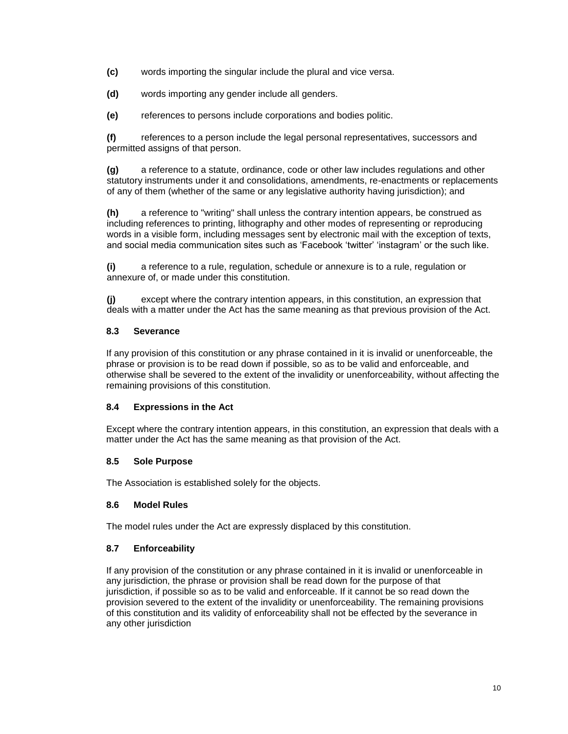- **(c)** words importing the singular include the plural and vice versa.
- **(d)** words importing any gender include all genders.
- **(e)** references to persons include corporations and bodies politic.

**(f)** references to a person include the legal personal representatives, successors and permitted assigns of that person.

**(g)** a reference to a statute, ordinance, code or other law includes regulations and other statutory instruments under it and consolidations, amendments, re-enactments or replacements of any of them (whether of the same or any legislative authority having jurisdiction); and

**(h)** a reference to "writing" shall unless the contrary intention appears, be construed as including references to printing, lithography and other modes of representing or reproducing words in a visible form, including messages sent by electronic mail with the exception of texts, and social media communication sites such as 'Facebook 'twitter' 'instagram' or the such like.

**(i)** a reference to a rule, regulation, schedule or annexure is to a rule, regulation or annexure of, or made under this constitution.

**(j)** except where the contrary intention appears, in this constitution, an expression that deals with a matter under the Act has the same meaning as that previous provision of the Act.

## **8.3 Severance**

If any provision of this constitution or any phrase contained in it is invalid or unenforceable, the phrase or provision is to be read down if possible, so as to be valid and enforceable, and otherwise shall be severed to the extent of the invalidity or unenforceability, without affecting the remaining provisions of this constitution.

## **8.4 Expressions in the Act**

Except where the contrary intention appears, in this constitution, an expression that deals with a matter under the Act has the same meaning as that provision of the Act.

## **8.5 Sole Purpose**

The Association is established solely for the objects.

## **8.6 Model Rules**

The model rules under the Act are expressly displaced by this constitution.

## **8.7 Enforceability**

If any provision of the constitution or any phrase contained in it is invalid or unenforceable in any jurisdiction, the phrase or provision shall be read down for the purpose of that jurisdiction, if possible so as to be valid and enforceable. If it cannot be so read down the provision severed to the extent of the invalidity or unenforceability. The remaining provisions of this constitution and its validity of enforceability shall not be effected by the severance in any other jurisdiction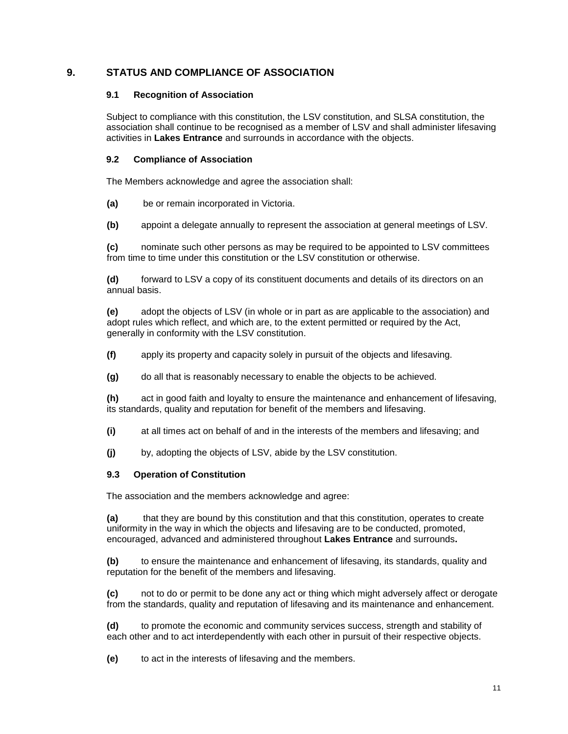## <span id="page-10-0"></span>**9. STATUS AND COMPLIANCE OF ASSOCIATION**

## **9.1 Recognition of Association**

Subject to compliance with this constitution, the LSV constitution, and SLSA constitution, the association shall continue to be recognised as a member of LSV and shall administer lifesaving activities in **Lakes Entrance** and surrounds in accordance with the objects.

## **9.2 Compliance of Association**

The Members acknowledge and agree the association shall:

**(a)** be or remain incorporated in Victoria.

**(b)** appoint a delegate annually to represent the association at general meetings of LSV.

**(c)** nominate such other persons as may be required to be appointed to LSV committees from time to time under this constitution or the LSV constitution or otherwise.

**(d)** forward to LSV a copy of its constituent documents and details of its directors on an annual basis.

**(e)** adopt the objects of LSV (in whole or in part as are applicable to the association) and adopt rules which reflect, and which are, to the extent permitted or required by the Act, generally in conformity with the LSV constitution.

- **(f)** apply its property and capacity solely in pursuit of the objects and lifesaving.
- **(g)** do all that is reasonably necessary to enable the objects to be achieved.

**(h)** act in good faith and loyalty to ensure the maintenance and enhancement of lifesaving, its standards, quality and reputation for benefit of the members and lifesaving.

- **(i)** at all times act on behalf of and in the interests of the members and lifesaving; and
- **(j)** by, adopting the objects of LSV, abide by the LSV constitution.

## **9.3 Operation of Constitution**

The association and the members acknowledge and agree:

**(a)** that they are bound by this constitution and that this constitution, operates to create uniformity in the way in which the objects and lifesaving are to be conducted, promoted, encouraged, advanced and administered throughout **Lakes Entrance** and surrounds**.**

**(b)** to ensure the maintenance and enhancement of lifesaving, its standards, quality and reputation for the benefit of the members and lifesaving.

**(c)** not to do or permit to be done any act or thing which might adversely affect or derogate from the standards, quality and reputation of lifesaving and its maintenance and enhancement.

**(d)** to promote the economic and community services success, strength and stability of each other and to act interdependently with each other in pursuit of their respective objects.

**(e)** to act in the interests of lifesaving and the members.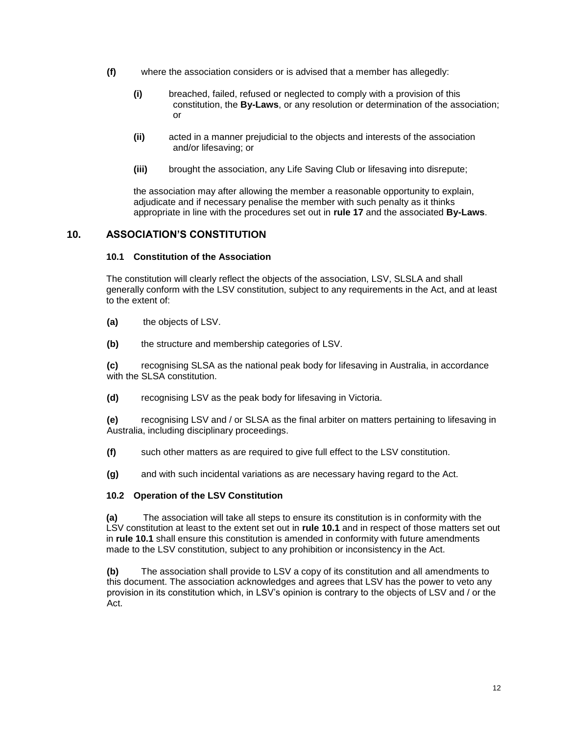- **(f)** where the association considers or is advised that a member has allegedly:
	- **(i)** breached, failed, refused or neglected to comply with a provision of this constitution, the **By-Laws**, or any resolution or determination of the association; or
	- **(ii)** acted in a manner prejudicial to the objects and interests of the association and/or lifesaving; or
	- **(iii)** brought the association, any Life Saving Club or lifesaving into disrepute;

the association may after allowing the member a reasonable opportunity to explain, adjudicate and if necessary penalise the member with such penalty as it thinks appropriate in line with the procedures set out in **rule 17** and the associated **By-Laws**.

## <span id="page-11-0"></span>**10. ASSOCIATION'S CONSTITUTION**

## **10.1 Constitution of the Association**

The constitution will clearly reflect the objects of the association, LSV, SLSLA and shall generally conform with the LSV constitution, subject to any requirements in the Act, and at least to the extent of:

- **(a)** the objects of LSV.
- **(b)** the structure and membership categories of LSV.

**(c)** recognising SLSA as the national peak body for lifesaving in Australia, in accordance with the SLSA constitution.

**(d)** recognising LSV as the peak body for lifesaving in Victoria.

**(e)** recognising LSV and / or SLSA as the final arbiter on matters pertaining to lifesaving in Australia, including disciplinary proceedings.

- **(f)** such other matters as are required to give full effect to the LSV constitution.
- **(g)** and with such incidental variations as are necessary having regard to the Act.

## **10.2 Operation of the LSV Constitution**

**(a)** The association will take all steps to ensure its constitution is in conformity with the LSV constitution at least to the extent set out in **rule 10.1** and in respect of those matters set out in **rule 10.1** shall ensure this constitution is amended in conformity with future amendments made to the LSV constitution, subject to any prohibition or inconsistency in the Act.

**(b)** The association shall provide to LSV a copy of its constitution and all amendments to this document. The association acknowledges and agrees that LSV has the power to veto any provision in its constitution which, in LSV's opinion is contrary to the objects of LSV and / or the Act.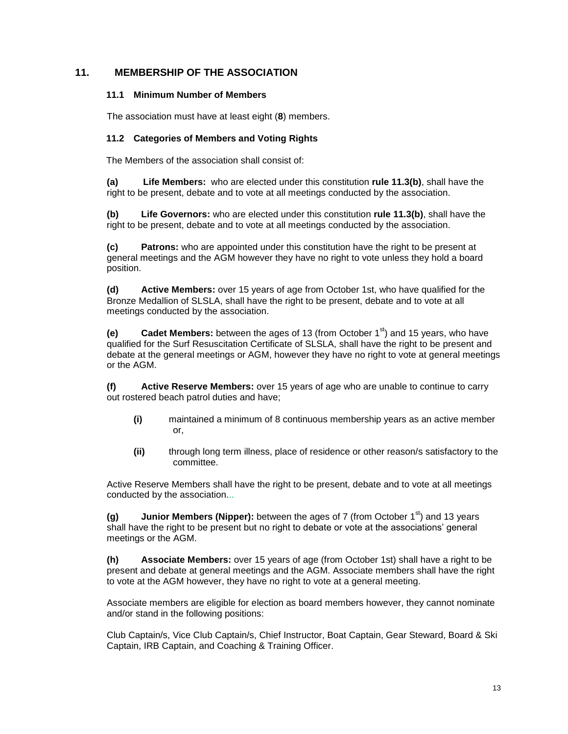## **11. MEMBERSHIP OF THE ASSOCIATION**

## **11.1 Minimum Number of Members**

The association must have at least eight (**8**) members.

## **11.2 Categories of Members and Voting Rights**

The Members of the association shall consist of:

**(a) Life Members:** who are elected under this constitution **rule 11.3(b)**, shall have the right to be present, debate and to vote at all meetings conducted by the association.

**(b) Life Governors:** who are elected under this constitution **rule 11.3(b)**, shall have the right to be present, debate and to vote at all meetings conducted by the association.

**(c) Patrons:** who are appointed under this constitution have the right to be present at general meetings and the AGM however they have no right to vote unless they hold a board position.

**(d) Active Members:** over 15 years of age from October 1st, who have qualified for the Bronze Medallion of SLSLA, shall have the right to be present, debate and to vote at all meetings conducted by the association.

**(e) Cadet Members:** between the ages of 13 (from October 1<sup>st</sup>) and 15 years, who have qualified for the Surf Resuscitation Certificate of SLSLA, shall have the right to be present and debate at the general meetings or AGM, however they have no right to vote at general meetings or the AGM.

**(f) Active Reserve Members:** over 15 years of age who are unable to continue to carry out rostered beach patrol duties and have;

- **(i)** maintained a minimum of 8 continuous membership years as an active member or,
- **(ii)** through long term illness, place of residence or other reason/s satisfactory to the committee.

Active Reserve Members shall have the right to be present, debate and to vote at all meetings conducted by the association...

**(g) Junior Members (Nipper):** between the ages of 7 (from October 1<sup>st</sup>) and 13 years shall have the right to be present but no right to debate or vote at the associations' general meetings or the AGM.

**(h) Associate Members:** over 15 years of age (from October 1st) shall have a right to be present and debate at general meetings and the AGM. Associate members shall have the right to vote at the AGM however, they have no right to vote at a general meeting.

Associate members are eligible for election as board members however, they cannot nominate and/or stand in the following positions:

Club Captain/s, Vice Club Captain/s, Chief Instructor, Boat Captain, Gear Steward, Board & Ski Captain, IRB Captain, and Coaching & Training Officer.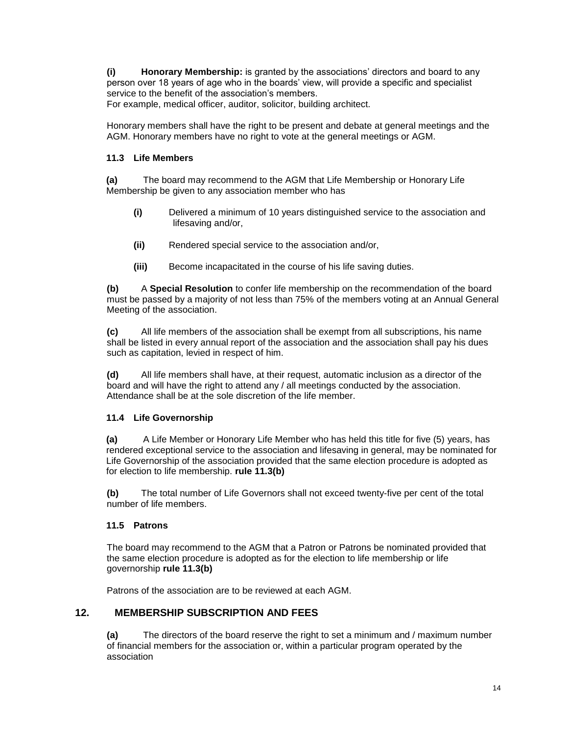**(i) Honorary Membership:** is granted by the associations' directors and board to any person over 18 years of age who in the boards' view, will provide a specific and specialist service to the benefit of the association's members.

For example, medical officer, auditor, solicitor, building architect.

Honorary members shall have the right to be present and debate at general meetings and the AGM. Honorary members have no right to vote at the general meetings or AGM.

## **11.3 Life Members**

**(a)** The board may recommend to the AGM that Life Membership or Honorary Life Membership be given to any association member who has

- **(i)** Delivered a minimum of 10 years distinguished service to the association and lifesaving and/or,
- **(ii)** Rendered special service to the association and/or,
- **(iii)** Become incapacitated in the course of his life saving duties.

**(b)** A **Special Resolution** to confer life membership on the recommendation of the board must be passed by a majority of not less than 75% of the members voting at an Annual General Meeting of the association.

**(c)** All life members of the association shall be exempt from all subscriptions, his name shall be listed in every annual report of the association and the association shall pay his dues such as capitation, levied in respect of him.

**(d)** All life members shall have, at their request, automatic inclusion as a director of the board and will have the right to attend any / all meetings conducted by the association. Attendance shall be at the sole discretion of the life member.

## **11.4 Life Governorship**

**(a)** A Life Member or Honorary Life Member who has held this title for five (5) years, has rendered exceptional service to the association and lifesaving in general, may be nominated for Life Governorship of the association provided that the same election procedure is adopted as for election to life membership. **rule 11.3(b)**

**(b)** The total number of Life Governors shall not exceed twenty-five per cent of the total number of life members.

## **11.5 Patrons**

The board may recommend to the AGM that a Patron or Patrons be nominated provided that the same election procedure is adopted as for the election to life membership or life governorship **rule 11.3(b)**

Patrons of the association are to be reviewed at each AGM.

## **12. MEMBERSHIP SUBSCRIPTION AND FEES**

**(a)** The directors of the board reserve the right to set a minimum and / maximum number of financial members for the association or, within a particular program operated by the association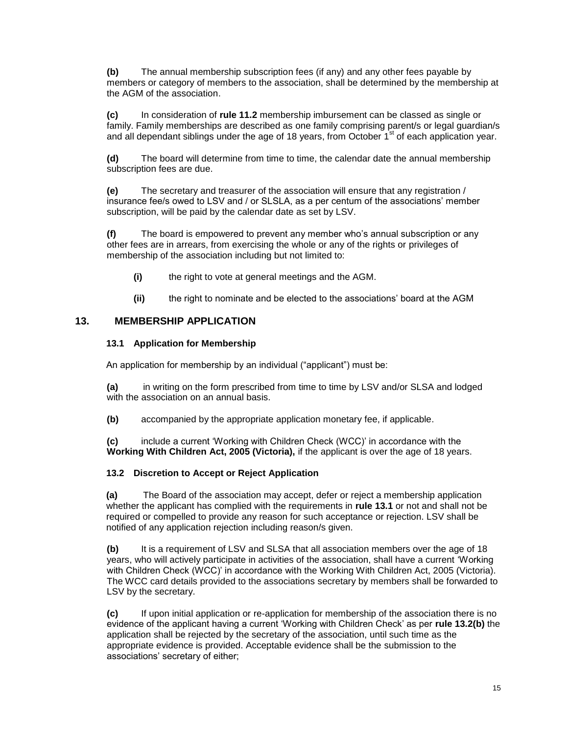**(b)** The annual membership subscription fees (if any) and any other fees payable by members or category of members to the association, shall be determined by the membership at the AGM of the association.

**(c)** In consideration of **rule 11.2** membership imbursement can be classed as single or family. Family memberships are described as one family comprising parent/s or legal guardian/s and all dependant siblings under the age of 18 years, from October  $1<sup>st</sup>$  of each application year.

**(d)** The board will determine from time to time, the calendar date the annual membership subscription fees are due.

**(e)** The secretary and treasurer of the association will ensure that any registration / insurance fee/s owed to LSV and / or SLSLA, as a per centum of the associations' member subscription, will be paid by the calendar date as set by LSV.

**(f)** The board is empowered to prevent any member who's annual subscription or any other fees are in arrears, from exercising the whole or any of the rights or privileges of membership of the association including but not limited to:

- **(i)** the right to vote at general meetings and the AGM.
- **(ii)** the right to nominate and be elected to the associations' board at the AGM

## **13. MEMBERSHIP APPLICATION**

## **13.1 Application for Membership**

An application for membership by an individual ("applicant") must be:

**(a)** in writing on the form prescribed from time to time by LSV and/or SLSA and lodged with the association on an annual basis.

**(b)** accompanied by the appropriate application monetary fee, if applicable.

**(c)** include a current 'Working with Children Check (WCC)' in accordance with the **Working With Children Act, 2005 (Victoria),** if the applicant is over the age of 18 years.

## **13.2 Discretion to Accept or Reject Application**

**(a)** The Board of the association may accept, defer or reject a membership application whether the applicant has complied with the requirements in **rule 13.1** or not and shall not be required or compelled to provide any reason for such acceptance or rejection. LSV shall be notified of any application rejection including reason/s given.

**(b)** It is a requirement of LSV and SLSA that all association members over the age of 18 years, who will actively participate in activities of the association, shall have a current 'Working with Children Check (WCC)' in accordance with the Working With Children Act, 2005 (Victoria). The WCC card details provided to the associations secretary by members shall be forwarded to LSV by the secretary.

**(c)** If upon initial application or re-application for membership of the association there is no evidence of the applicant having a current 'Working with Children Check' as per **rule 13.2(b)** the application shall be rejected by the secretary of the association, until such time as the appropriate evidence is provided. Acceptable evidence shall be the submission to the associations' secretary of either;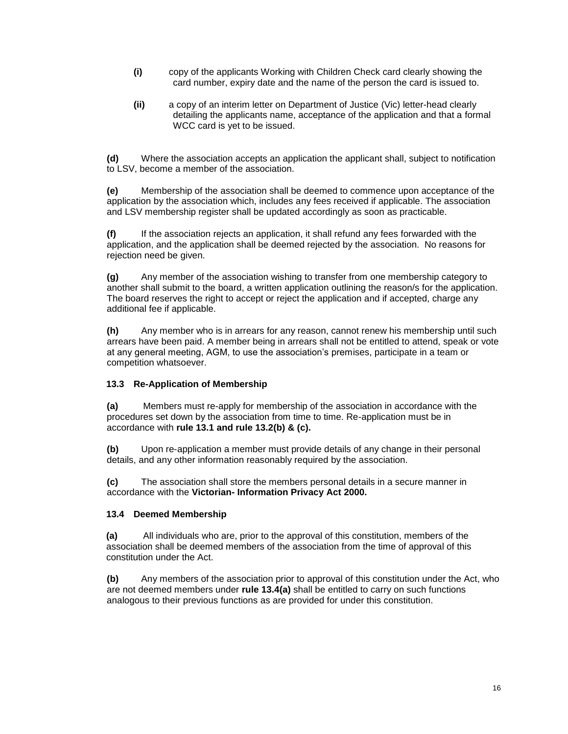- **(i)** copy of the applicants Working with Children Check card clearly showing the card number, expiry date and the name of the person the card is issued to.
- **(ii)** a copy of an interim letter on Department of Justice (Vic) letter-head clearly detailing the applicants name, acceptance of the application and that a formal WCC card is yet to be issued.

**(d)** Where the association accepts an application the applicant shall, subject to notification to LSV, become a member of the association.

**(e)** Membership of the association shall be deemed to commence upon acceptance of the application by the association which, includes any fees received if applicable. The association and LSV membership register shall be updated accordingly as soon as practicable.

**(f)** If the association rejects an application, it shall refund any fees forwarded with the application, and the application shall be deemed rejected by the association. No reasons for rejection need be given.

**(g)** Any member of the association wishing to transfer from one membership category to another shall submit to the board, a written application outlining the reason/s for the application. The board reserves the right to accept or reject the application and if accepted, charge any additional fee if applicable.

**(h)** Any member who is in arrears for any reason, cannot renew his membership until such arrears have been paid. A member being in arrears shall not be entitled to attend, speak or vote at any general meeting, AGM, to use the association's premises, participate in a team or competition whatsoever.

## **13.3 Re-Application of Membership**

**(a)** Members must re-apply for membership of the association in accordance with the procedures set down by the association from time to time. Re-application must be in accordance with **rule 13.1 and rule 13.2(b) & (c).**

**(b)** Upon re-application a member must provide details of any change in their personal details, and any other information reasonably required by the association.

**(c)** The association shall store the members personal details in a secure manner in accordance with the **Victorian- Information Privacy Act 2000.**

## **13.4 Deemed Membership**

**(a)** All individuals who are, prior to the approval of this constitution, members of the association shall be deemed members of the association from the time of approval of this constitution under the Act.

**(b)** Any members of the association prior to approval of this constitution under the Act, who are not deemed members under **rule 13.4(a)** shall be entitled to carry on such functions analogous to their previous functions as are provided for under this constitution.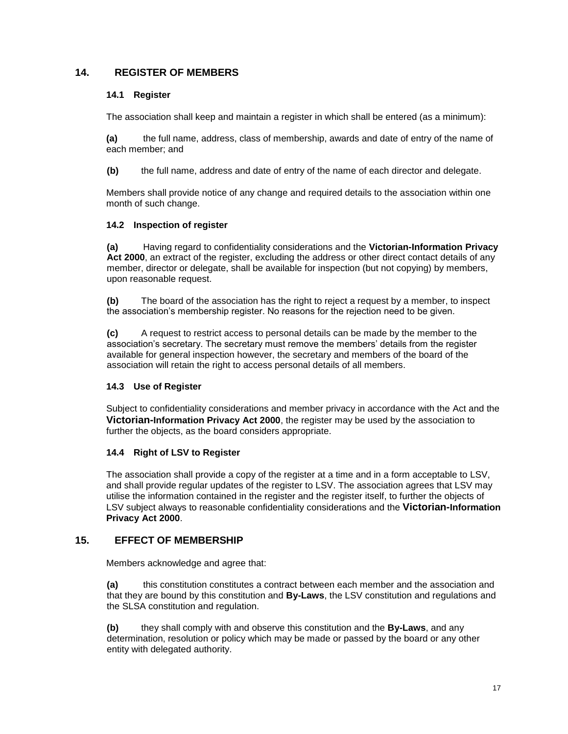## **14. REGISTER OF MEMBERS**

## **14.1 Register**

The association shall keep and maintain a register in which shall be entered (as a minimum):

**(a)** the full name, address, class of membership, awards and date of entry of the name of each member; and

**(b)** the full name, address and date of entry of the name of each director and delegate.

Members shall provide notice of any change and required details to the association within one month of such change.

## **14.2 Inspection of register**

**(a)** Having regard to confidentiality considerations and the **Victorian-Information Privacy Act 2000**, an extract of the register, excluding the address or other direct contact details of any member, director or delegate, shall be available for inspection (but not copying) by members, upon reasonable request.

**(b)** The board of the association has the right to reject a request by a member, to inspect the association's membership register. No reasons for the rejection need to be given.

**(c)** A request to restrict access to personal details can be made by the member to the association's secretary. The secretary must remove the members' details from the register available for general inspection however, the secretary and members of the board of the association will retain the right to access personal details of all members.

## **14.3 Use of Register**

Subject to confidentiality considerations and member privacy in accordance with the Act and the **Victorian-Information Privacy Act 2000**, the register may be used by the association to further the objects, as the board considers appropriate.

## **14.4 Right of LSV to Register**

The association shall provide a copy of the register at a time and in a form acceptable to LSV, and shall provide regular updates of the register to LSV. The association agrees that LSV may utilise the information contained in the register and the register itself, to further the objects of LSV subject always to reasonable confidentiality considerations and the **Victorian-Information Privacy Act 2000**.

## **15. EFFECT OF MEMBERSHIP**

Members acknowledge and agree that:

**(a)** this constitution constitutes a contract between each member and the association and that they are bound by this constitution and **By-Laws**, the LSV constitution and regulations and the SLSA constitution and regulation.

**(b)** they shall comply with and observe this constitution and the **By-Laws**, and any determination, resolution or policy which may be made or passed by the board or any other entity with delegated authority.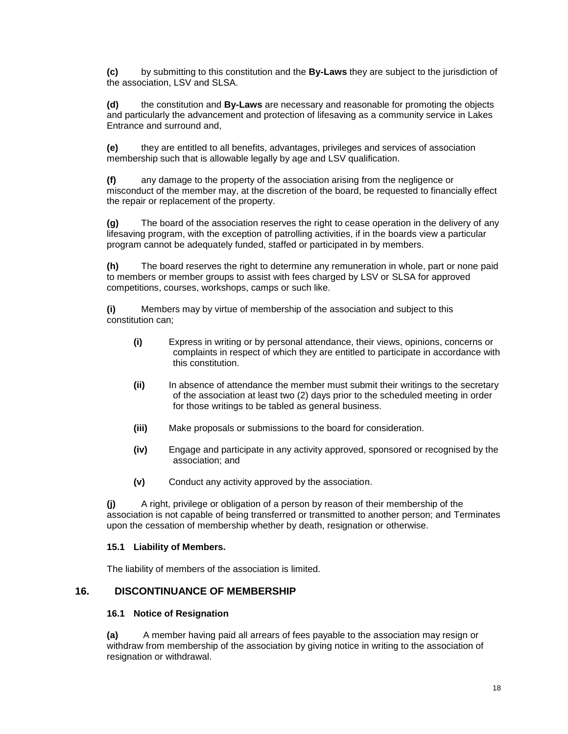**(c)** by submitting to this constitution and the **By-Laws** they are subject to the jurisdiction of the association, LSV and SLSA.

**(d)** the constitution and **By-Laws** are necessary and reasonable for promoting the objects and particularly the advancement and protection of lifesaving as a community service in Lakes Entrance and surround and,

**(e)** they are entitled to all benefits, advantages, privileges and services of association membership such that is allowable legally by age and LSV qualification.

**(f)** any damage to the property of the association arising from the negligence or misconduct of the member may, at the discretion of the board, be requested to financially effect the repair or replacement of the property.

**(g)** The board of the association reserves the right to cease operation in the delivery of any lifesaving program, with the exception of patrolling activities, if in the boards view a particular program cannot be adequately funded, staffed or participated in by members.

**(h)** The board reserves the right to determine any remuneration in whole, part or none paid to members or member groups to assist with fees charged by LSV or SLSA for approved competitions, courses, workshops, camps or such like.

**(i)** Members may by virtue of membership of the association and subject to this constitution can;

- **(i)** Express in writing or by personal attendance, their views, opinions, concerns or complaints in respect of which they are entitled to participate in accordance with this constitution.
- **(ii)** In absence of attendance the member must submit their writings to the secretary of the association at least two (2) days prior to the scheduled meeting in order for those writings to be tabled as general business.
- **(iii)** Make proposals or submissions to the board for consideration.
- **(iv)** Engage and participate in any activity approved, sponsored or recognised by the association; and
- **(v)** Conduct any activity approved by the association.

**(j)** A right, privilege or obligation of a person by reason of their membership of the association is not capable of being transferred or transmitted to another person; and Terminates upon the cessation of membership whether by death, resignation or otherwise.

#### **15.1 Liability of Members.**

The liability of members of the association is limited.

## **16. DISCONTINUANCE OF MEMBERSHIP**

#### **16.1 Notice of Resignation**

**(a)** A member having paid all arrears of fees payable to the association may resign or withdraw from membership of the association by giving notice in writing to the association of resignation or withdrawal.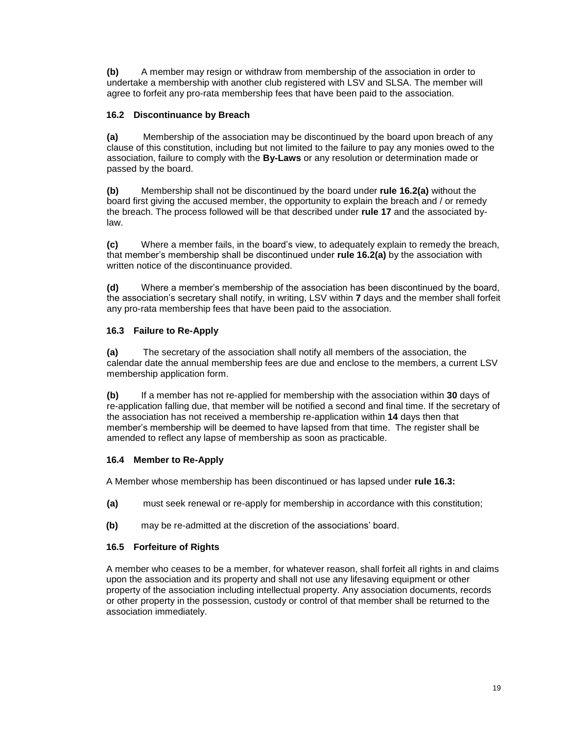**(b)** A member may resign or withdraw from membership of the association in order to undertake a membership with another club registered with LSV and SLSA. The member will agree to forfeit any pro-rata membership fees that have been paid to the association.

## **16.2 Discontinuance by Breach**

**(a)** Membership of the association may be discontinued by the board upon breach of any clause of this constitution, including but not limited to the failure to pay any monies owed to the association, failure to comply with the **By-Laws** or any resolution or determination made or passed by the board.

**(b)** Membership shall not be discontinued by the board under **rule 16.2(a)** without the board first giving the accused member, the opportunity to explain the breach and / or remedy the breach. The process followed will be that described under **rule 17** and the associated bylaw.

**(c)** Where a member fails, in the board's view, to adequately explain to remedy the breach, that member's membership shall be discontinued under **rule 16.2(a)** by the association with written notice of the discontinuance provided.

**(d)** Where a member's membership of the association has been discontinued by the board, the association's secretary shall notify, in writing, LSV within **7** days and the member shall forfeit any pro-rata membership fees that have been paid to the association.

## **16.3 Failure to Re-Apply**

**(a)** The secretary of the association shall notify all members of the association, the calendar date the annual membership fees are due and enclose to the members, a current LSV membership application form.

**(b)** If a member has not re-applied for membership with the association within **30** days of re-application falling due, that member will be notified a second and final time. If the secretary of the association has not received a membership re-application within **14** days then that member's membership will be deemed to have lapsed from that time. The register shall be amended to reflect any lapse of membership as soon as practicable.

## **16.4 Member to Re-Apply**

A Member whose membership has been discontinued or has lapsed under **rule 16.3:**

- **(a)** must seek renewal or re-apply for membership in accordance with this constitution;
- **(b)** may be re-admitted at the discretion of the associations' board.

## **16.5 Forfeiture of Rights**

A member who ceases to be a member, for whatever reason, shall forfeit all rights in and claims upon the association and its property and shall not use any lifesaving equipment or other property of the association including intellectual property. Any association documents, records or other property in the possession, custody or control of that member shall be returned to the association immediately.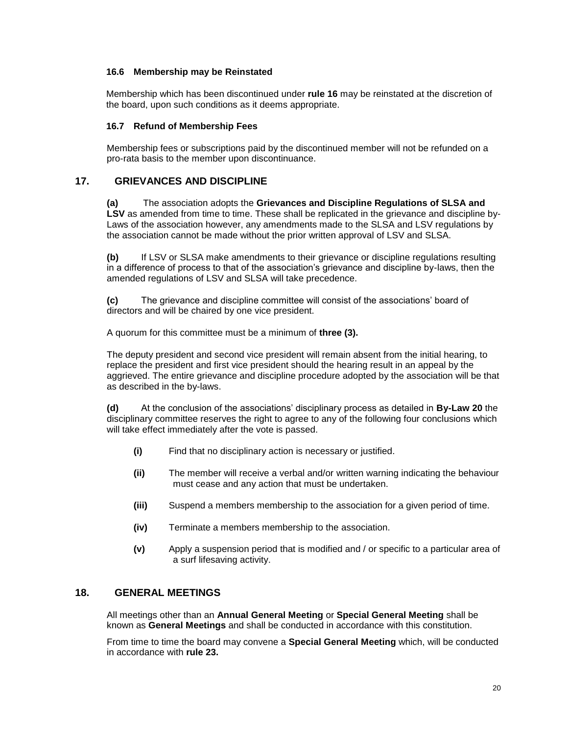## **16.6 Membership may be Reinstated**

Membership which has been discontinued under **rule 16** may be reinstated at the discretion of the board, upon such conditions as it deems appropriate.

## **16.7 Refund of Membership Fees**

Membership fees or subscriptions paid by the discontinued member will not be refunded on a pro-rata basis to the member upon discontinuance.

## <span id="page-19-0"></span>**17. GRIEVANCES AND DISCIPLINE**

**(a)** The association adopts the **Grievances and Discipline Regulations of SLSA and LSV** as amended from time to time. These shall be replicated in the grievance and discipline by-Laws of the association however, any amendments made to the SLSA and LSV regulations by the association cannot be made without the prior written approval of LSV and SLSA.

**(b)** If LSV or SLSA make amendments to their grievance or discipline regulations resulting in a difference of process to that of the association's grievance and discipline by-laws, then the amended regulations of LSV and SLSA will take precedence.

**(c)** The grievance and discipline committee will consist of the associations' board of directors and will be chaired by one vice president.

A quorum for this committee must be a minimum of **three (3).**

The deputy president and second vice president will remain absent from the initial hearing, to replace the president and first vice president should the hearing result in an appeal by the aggrieved. The entire grievance and discipline procedure adopted by the association will be that as described in the by-laws.

**(d)** At the conclusion of the associations' disciplinary process as detailed in **By-Law 20** the disciplinary committee reserves the right to agree to any of the following four conclusions which will take effect immediately after the vote is passed.

- **(i)** Find that no disciplinary action is necessary or justified.
- **(ii)** The member will receive a verbal and/or written warning indicating the behaviour must cease and any action that must be undertaken.
- **(iii)** Suspend a members membership to the association for a given period of time.
- **(iv)** Terminate a members membership to the association.
- **(v)** Apply a suspension period that is modified and / or specific to a particular area of a surf lifesaving activity.

## <span id="page-19-1"></span>**18. GENERAL MEETINGS**

All meetings other than an **Annual General Meeting** or **Special General Meeting** shall be known as **General Meetings** and shall be conducted in accordance with this constitution.

From time to time the board may convene a **Special General Meeting** which, will be conducted in accordance with **rule 23.**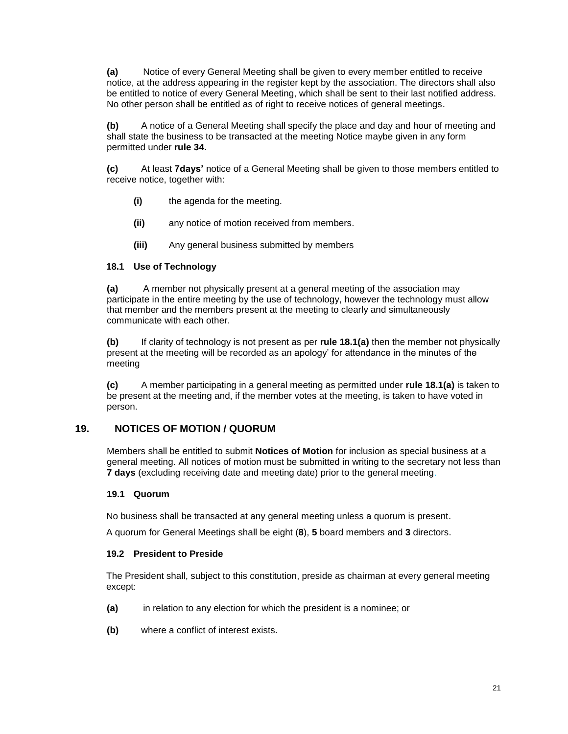**(a)** Notice of every General Meeting shall be given to every member entitled to receive notice, at the address appearing in the register kept by the association. The directors shall also be entitled to notice of every General Meeting, which shall be sent to their last notified address. No other person shall be entitled as of right to receive notices of general meetings.

**(b)** A notice of a General Meeting shall specify the place and day and hour of meeting and shall state the business to be transacted at the meeting Notice maybe given in any form permitted under **rule 34.**

**(c)** At least **7days'** notice of a General Meeting shall be given to those members entitled to receive notice, together with:

- **(i)** the agenda for the meeting.
- **(ii)** any notice of motion received from members.
- **(iii)** Any general business submitted by members

## **18.1 Use of Technology**

**(a)** A member not physically present at a general meeting of the association may participate in the entire meeting by the use of technology, however the technology must allow that member and the members present at the meeting to clearly and simultaneously communicate with each other.

**(b)** If clarity of technology is not present as per **rule 18.1(a)** then the member not physically present at the meeting will be recorded as an apology' for attendance in the minutes of the meeting

**(c)** A member participating in a general meeting as permitted under **rule 18.1(a)** is taken to be present at the meeting and, if the member votes at the meeting, is taken to have voted in person.

## <span id="page-20-0"></span>**19. NOTICES OF MOTION / QUORUM**

Members shall be entitled to submit **Notices of Motion** for inclusion as special business at a general meeting. All notices of motion must be submitted in writing to the secretary not less than **7 days** (excluding receiving date and meeting date) prior to the general meeting.

#### **19.1 Quorum**

No business shall be transacted at any general meeting unless a quorum is present.

A quorum for General Meetings shall be eight (**8**), **5** board members and **3** directors.

#### **19.2 President to Preside**

The President shall, subject to this constitution, preside as chairman at every general meeting except:

- **(a)** in relation to any election for which the president is a nominee; or
- **(b)** where a conflict of interest exists.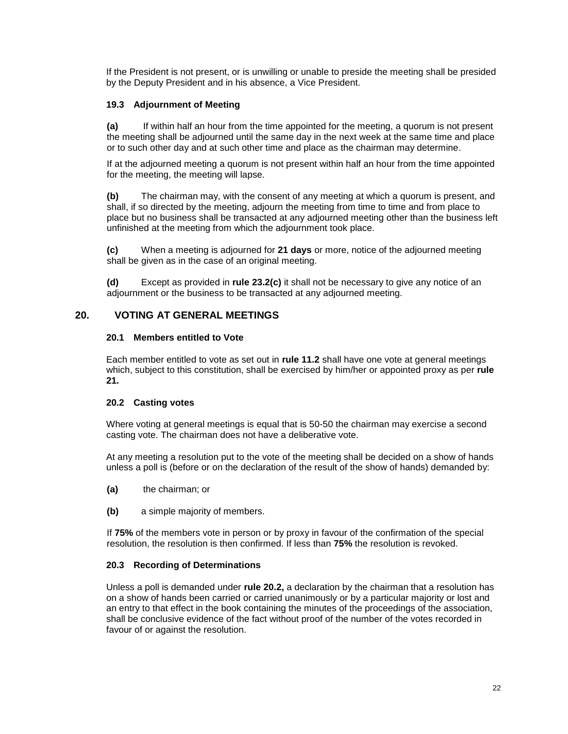If the President is not present, or is unwilling or unable to preside the meeting shall be presided by the Deputy President and in his absence, a Vice President.

## **19.3 Adjournment of Meeting**

**(a)** If within half an hour from the time appointed for the meeting, a quorum is not present the meeting shall be adjourned until the same day in the next week at the same time and place or to such other day and at such other time and place as the chairman may determine.

If at the adjourned meeting a quorum is not present within half an hour from the time appointed for the meeting, the meeting will lapse.

**(b)** The chairman may, with the consent of any meeting at which a quorum is present, and shall, if so directed by the meeting, adjourn the meeting from time to time and from place to place but no business shall be transacted at any adjourned meeting other than the business left unfinished at the meeting from which the adjournment took place.

**(c)** When a meeting is adjourned for **21 days** or more, notice of the adjourned meeting shall be given as in the case of an original meeting.

**(d)** Except as provided in **rule 23.2(c)** it shall not be necessary to give any notice of an adjournment or the business to be transacted at any adjourned meeting.

## <span id="page-21-0"></span>**20. VOTING AT GENERAL MEETINGS**

## **20.1 Members entitled to Vote**

Each member entitled to vote as set out in **rule 11.2** shall have one vote at general meetings which, subject to this constitution, shall be exercised by him/her or appointed proxy as per **rule 21.**

## **20.2 Casting votes**

Where voting at general meetings is equal that is 50-50 the chairman may exercise a second casting vote. The chairman does not have a deliberative vote.

At any meeting a resolution put to the vote of the meeting shall be decided on a show of hands unless a poll is (before or on the declaration of the result of the show of hands) demanded by:

- **(a)** the chairman; or
- **(b)** a simple majority of members.

If **75%** of the members vote in person or by proxy in favour of the confirmation of the special resolution, the resolution is then confirmed. If less than **75%** the resolution is revoked.

## **20.3 Recording of Determinations**

Unless a poll is demanded under **rule 20.2,** a declaration by the chairman that a resolution has on a show of hands been carried or carried unanimously or by a particular majority or lost and an entry to that effect in the book containing the minutes of the proceedings of the association, shall be conclusive evidence of the fact without proof of the number of the votes recorded in favour of or against the resolution.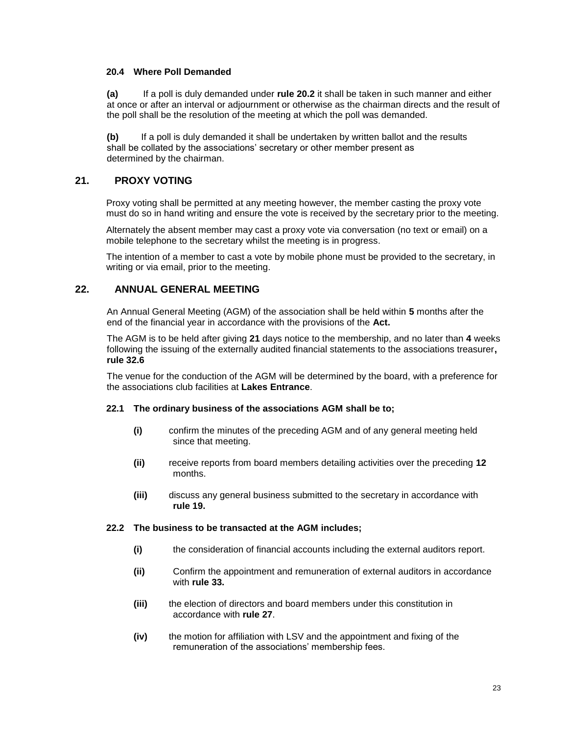## **20.4 Where Poll Demanded**

**(a)** If a poll is duly demanded under **rule 20.2** it shall be taken in such manner and either at once or after an interval or adjournment or otherwise as the chairman directs and the result of the poll shall be the resolution of the meeting at which the poll was demanded.

**(b)** If a poll is duly demanded it shall be undertaken by written ballot and the results shall be collated by the associations' secretary or other member present as determined by the chairman.

## <span id="page-22-0"></span>**21. PROXY VOTING**

Proxy voting shall be permitted at any meeting however, the member casting the proxy vote must do so in hand writing and ensure the vote is received by the secretary prior to the meeting.

Alternately the absent member may cast a proxy vote via conversation (no text or email) on a mobile telephone to the secretary whilst the meeting is in progress.

The intention of a member to cast a vote by mobile phone must be provided to the secretary, in writing or via email, prior to the meeting.

## <span id="page-22-1"></span>**22. ANNUAL GENERAL MEETING**

An Annual General Meeting (AGM) of the association shall be held within **5** months after the end of the financial year in accordance with the provisions of the **Act.**

The AGM is to be held after giving **21** days notice to the membership, and no later than **4** weeks following the issuing of the externally audited financial statements to the associations treasurer**, rule 32.6**

The venue for the conduction of the AGM will be determined by the board, with a preference for the associations club facilities at **Lakes Entrance**.

#### **22.1 The ordinary business of the associations AGM shall be to;**

- **(i)** confirm the minutes of the preceding AGM and of any general meeting held since that meeting.
- **(ii)** receive reports from board members detailing activities over the preceding **12** months.
- **(iii)** discuss any general business submitted to the secretary in accordance with **rule 19.**

#### **22.2 The business to be transacted at the AGM includes;**

- **(i)** the consideration of financial accounts including the external auditors report.
- **(ii)** Confirm the appointment and remuneration of external auditors in accordance with **rule 33.**
- **(iii)** the election of directors and board members under this constitution in accordance with **rule 27**.
- **(iv)** the motion for affiliation with LSV and the appointment and fixing of the remuneration of the associations' membership fees.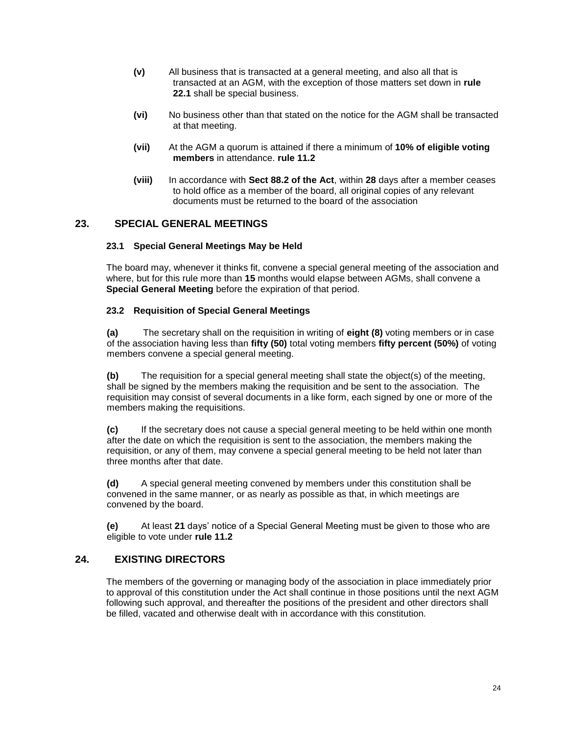- **(v)** All business that is transacted at a general meeting, and also all that is transacted at an AGM, with the exception of those matters set down in **rule 22.1** shall be special business.
- **(vi)** No business other than that stated on the notice for the AGM shall be transacted at that meeting.
- **(vii)** At the AGM a quorum is attained if there a minimum of **10% of eligible voting members** in attendance. **rule 11.2**
- **(viii)** In accordance with **Sect 88.2 of the Act**, within **28** days after a member ceases to hold office as a member of the board, all original copies of any relevant documents must be returned to the board of the association

## <span id="page-23-0"></span>**23. SPECIAL GENERAL MEETINGS**

## **23.1 Special General Meetings May be Held**

The board may, whenever it thinks fit, convene a special general meeting of the association and where, but for this rule more than **15** months would elapse between AGMs, shall convene a **Special General Meeting** before the expiration of that period.

## **23.2 Requisition of Special General Meetings**

**(a)** The secretary shall on the requisition in writing of **eight (8)** voting members or in case of the association having less than **fifty (50)** total voting members **fifty percent (50%)** of voting members convene a special general meeting.

**(b)** The requisition for a special general meeting shall state the object(s) of the meeting, shall be signed by the members making the requisition and be sent to the association. The requisition may consist of several documents in a like form, each signed by one or more of the members making the requisitions.

**(c)** If the secretary does not cause a special general meeting to be held within one month after the date on which the requisition is sent to the association, the members making the requisition, or any of them, may convene a special general meeting to be held not later than three months after that date.

**(d)** A special general meeting convened by members under this constitution shall be convened in the same manner, or as nearly as possible as that, in which meetings are convened by the board.

**(e)** At least **21** days' notice of a Special General Meeting must be given to those who are eligible to vote under **rule 11.2**

## <span id="page-23-1"></span>**24. EXISTING DIRECTORS**

The members of the governing or managing body of the association in place immediately prior to approval of this constitution under the Act shall continue in those positions until the next AGM following such approval, and thereafter the positions of the president and other directors shall be filled, vacated and otherwise dealt with in accordance with this constitution.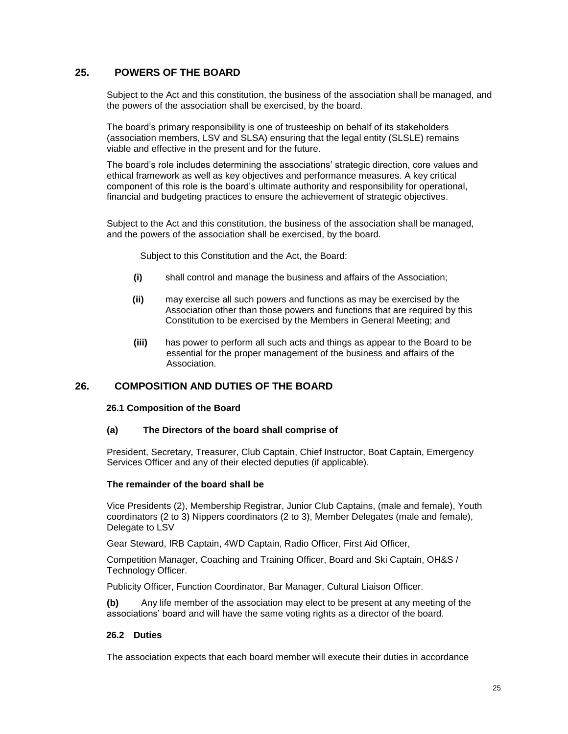## <span id="page-24-0"></span>**25. POWERS OF THE BOARD**

Subject to the Act and this constitution, the business of the association shall be managed, and the powers of the association shall be exercised, by the board.

The board's primary responsibility is one of trusteeship on behalf of its stakeholders (association members, LSV and SLSA) ensuring that the legal entity (SLSLE) remains viable and effective in the present and for the future.

The board's role includes determining the associations' strategic direction, core values and ethical framework as well as key objectives and performance measures. A key critical component of this role is the board's ultimate authority and responsibility for operational, financial and budgeting practices to ensure the achievement of strategic objectives.

Subject to the Act and this constitution, the business of the association shall be managed, and the powers of the association shall be exercised, by the board.

Subject to this Constitution and the Act, the Board:

- **(i)** shall control and manage the business and affairs of the Association;
- **(ii)** may exercise all such powers and functions as may be exercised by the Association other than those powers and functions that are required by this Constitution to be exercised by the Members in General Meeting; and
- **(iii)** has power to perform all such acts and things as appear to the Board to be essential for the proper management of the business and affairs of the Association.

## **26. COMPOSITION AND DUTIES OF THE BOARD**

#### **26.1 Composition of the Board**

#### **(a) The Directors of the board shall comprise of**

President, Secretary, Treasurer, Club Captain, Chief Instructor, Boat Captain, Emergency Services Officer and any of their elected deputies (if applicable).

#### **The remainder of the board shall be**

Vice Presidents (2), Membership Registrar, Junior Club Captains, (male and female), Youth coordinators (2 to 3) Nippers coordinators (2 to 3), Member Delegates (male and female), Delegate to LSV

Gear Steward, IRB Captain, 4WD Captain, Radio Officer, First Aid Officer,

Competition Manager, Coaching and Training Officer, Board and Ski Captain, OH&S / Technology Officer.

Publicity Officer, Function Coordinator, Bar Manager, Cultural Liaison Officer.

**(b)** Any life member of the association may elect to be present at any meeting of the associations' board and will have the same voting rights as a director of the board.

#### **26.2 Duties**

The association expects that each board member will execute their duties in accordance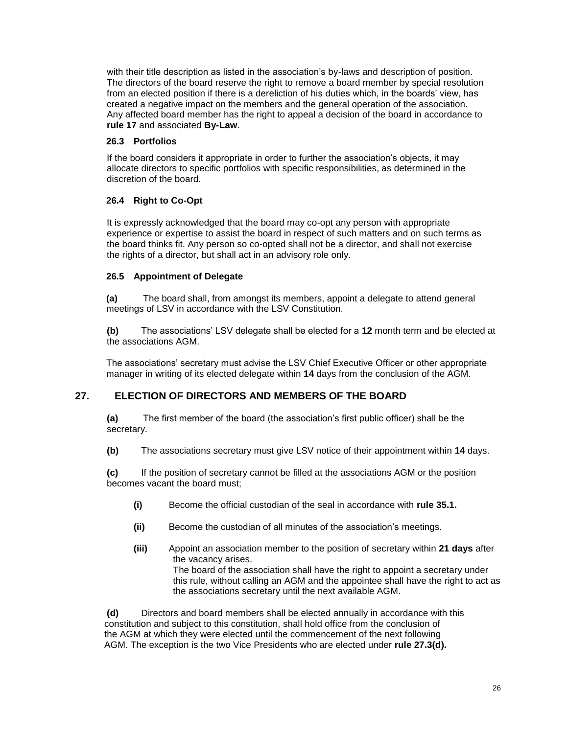with their title description as listed in the association's by-laws and description of position. The directors of the board reserve the right to remove a board member by special resolution from an elected position if there is a dereliction of his duties which, in the boards' view, has created a negative impact on the members and the general operation of the association. Any affected board member has the right to appeal a decision of the board in accordance to **rule 17** and associated **By-Law**.

## **26.3 Portfolios**

If the board considers it appropriate in order to further the association's objects, it may allocate directors to specific portfolios with specific responsibilities, as determined in the discretion of the board.

## **26.4 Right to Co-Opt**

It is expressly acknowledged that the board may co-opt any person with appropriate experience or expertise to assist the board in respect of such matters and on such terms as the board thinks fit. Any person so co-opted shall not be a director, and shall not exercise the rights of a director, but shall act in an advisory role only.

## **26.5 Appointment of Delegate**

**(a)** The board shall, from amongst its members, appoint a delegate to attend general meetings of LSV in accordance with the LSV Constitution.

**(b)** The associations' LSV delegate shall be elected for a **12** month term and be elected at the associations AGM.

The associations' secretary must advise the LSV Chief Executive Officer or other appropriate manager in writing of its elected delegate within **14** days from the conclusion of the AGM.

## **27. ELECTION OF DIRECTORS AND MEMBERS OF THE BOARD**

**(a)** The first member of the board (the association's first public officer) shall be the secretary.

**(b)** The associations secretary must give LSV notice of their appointment within **14** days.

**(c)** If the position of secretary cannot be filled at the associations AGM or the position becomes vacant the board must;

- **(i)** Become the official custodian of the seal in accordance with **rule 35.1.**
- **(ii)** Become the custodian of all minutes of the association's meetings.
- **(iii)** Appoint an association member to the position of secretary within **21 days** after the vacancy arises.

The board of the association shall have the right to appoint a secretary under this rule, without calling an AGM and the appointee shall have the right to act as the associations secretary until the next available AGM.

**(d)** Directors and board members shall be elected annually in accordance with this constitution and subject to this constitution, shall hold office from the conclusion of the AGM at which they were elected until the commencement of the next following AGM. The exception is the two Vice Presidents who are elected under **rule 27.3(d).**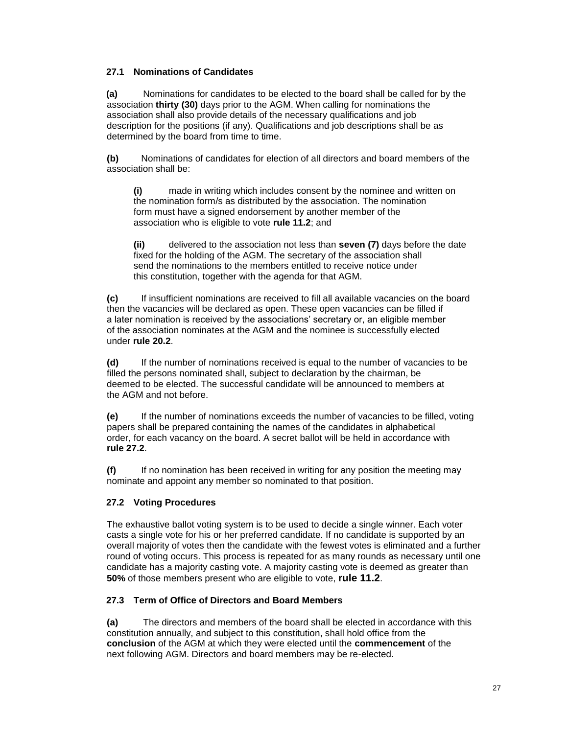## **27.1 Nominations of Candidates**

**(a)** Nominations for candidates to be elected to the board shall be called for by the association **thirty (30)** days prior to the AGM. When calling for nominations the association shall also provide details of the necessary qualifications and job description for the positions (if any). Qualifications and job descriptions shall be as determined by the board from time to time.

**(b)** Nominations of candidates for election of all directors and board members of the association shall be:

**(i)** made in writing which includes consent by the nominee and written on the nomination form/s as distributed by the association. The nomination form must have a signed endorsement by another member of the association who is eligible to vote **rule 11.2**; and

**(ii)** delivered to the association not less than **seven (7)** days before the date fixed for the holding of the AGM. The secretary of the association shall send the nominations to the members entitled to receive notice under this constitution, together with the agenda for that AGM.

**(c)** If insufficient nominations are received to fill all available vacancies on the board then the vacancies will be declared as open. These open vacancies can be filled if a later nomination is received by the associations' secretary or, an eligible member of the association nominates at the AGM and the nominee is successfully elected under **rule 20.2**.

**(d)** If the number of nominations received is equal to the number of vacancies to be filled the persons nominated shall, subject to declaration by the chairman, be deemed to be elected. The successful candidate will be announced to members at the AGM and not before.

**(e)** If the number of nominations exceeds the number of vacancies to be filled, voting papers shall be prepared containing the names of the candidates in alphabetical order, for each vacancy on the board. A secret ballot will be held in accordance with **rule 27.2**.

**(f)** If no nomination has been received in writing for any position the meeting may nominate and appoint any member so nominated to that position.

## **27.2 Voting Procedures**

The exhaustive ballot voting system is to be used to decide a single winner. Each voter casts a single vote for his or her preferred candidate. If no candidate is supported by an overall majority of votes then the candidate with the fewest votes is eliminated and a further round of voting occurs. This process is repeated for as many rounds as necessary until one candidate has a majority casting vote. A majority casting vote is deemed as greater than **50%** of those members present who are eligible to vote, **rule 11.2**.

## **27.3 Term of Office of Directors and Board Members**

**(a)** The directors and members of the board shall be elected in accordance with this constitution annually, and subject to this constitution, shall hold office from the **conclusion** of the AGM at which they were elected until the **commencement** of the next following AGM. Directors and board members may be re-elected.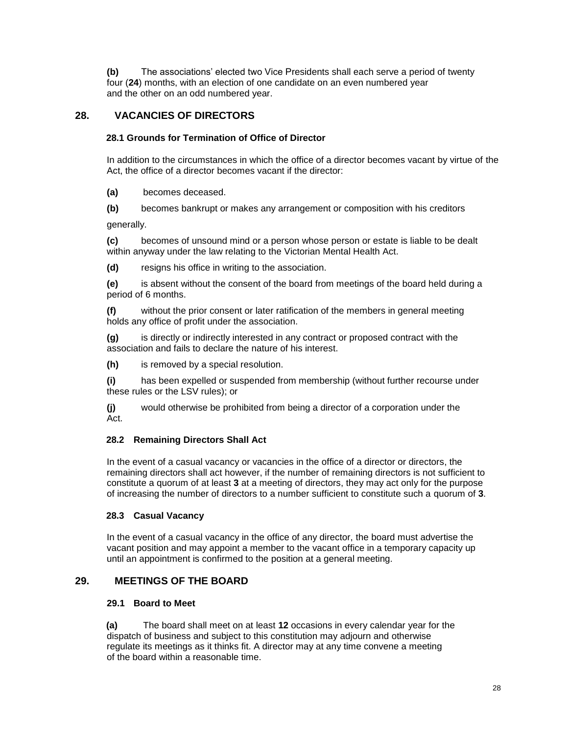**(b)** The associations' elected two Vice Presidents shall each serve a period of twenty four (**24**) months, with an election of one candidate on an even numbered year and the other on an odd numbered year.

## **28. VACANCIES OF DIRECTORS**

## **28.1 Grounds for Termination of Office of Director**

In addition to the circumstances in which the office of a director becomes vacant by virtue of the Act, the office of a director becomes vacant if the director:

**(a)** becomes deceased.

**(b)** becomes bankrupt or makes any arrangement or composition with his creditors

generally.

**(c)** becomes of unsound mind or a person whose person or estate is liable to be dealt within anyway under the law relating to the Victorian Mental Health Act.

**(d)** resigns his office in writing to the association.

**(e)** is absent without the consent of the board from meetings of the board held during a period of 6 months.

**(f)** without the prior consent or later ratification of the members in general meeting holds any office of profit under the association.

**(g)** is directly or indirectly interested in any contract or proposed contract with the association and fails to declare the nature of his interest.

**(h)** is removed by a special resolution.

**(i)** has been expelled or suspended from membership (without further recourse under these rules or the LSV rules); or

**(j)** would otherwise be prohibited from being a director of a corporation under the Act.

## **28.2 Remaining Directors Shall Act**

In the event of a casual vacancy or vacancies in the office of a director or directors, the remaining directors shall act however, if the number of remaining directors is not sufficient to constitute a quorum of at least **3** at a meeting of directors, they may act only for the purpose of increasing the number of directors to a number sufficient to constitute such a quorum of **3**.

## **28.3 Casual Vacancy**

In the event of a casual vacancy in the office of any director, the board must advertise the vacant position and may appoint a member to the vacant office in a temporary capacity up until an appointment is confirmed to the position at a general meeting.

## **29. MEETINGS OF THE BOARD**

## **29.1 Board to Meet**

**(a)** The board shall meet on at least **12** occasions in every calendar year for the dispatch of business and subject to this constitution may adjourn and otherwise regulate its meetings as it thinks fit. A director may at any time convene a meeting of the board within a reasonable time.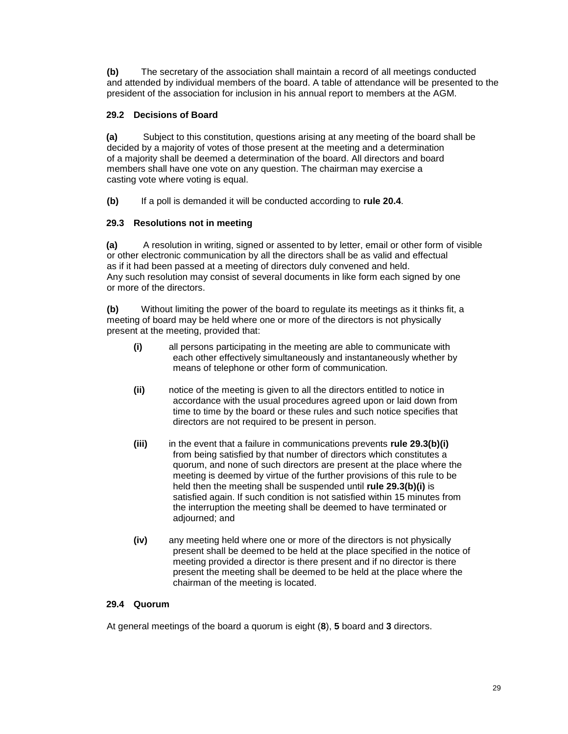**(b)** The secretary of the association shall maintain a record of all meetings conducted and attended by individual members of the board. A table of attendance will be presented to the president of the association for inclusion in his annual report to members at the AGM.

## **29.2 Decisions of Board**

**(a)** Subject to this constitution, questions arising at any meeting of the board shall be decided by a majority of votes of those present at the meeting and a determination of a majority shall be deemed a determination of the board. All directors and board members shall have one vote on any question. The chairman may exercise a casting vote where voting is equal.

**(b)** If a poll is demanded it will be conducted according to **rule 20.4**.

## **29.3 Resolutions not in meeting**

**(a)** A resolution in writing, signed or assented to by letter, email or other form of visible or other electronic communication by all the directors shall be as valid and effectual as if it had been passed at a meeting of directors duly convened and held. Any such resolution may consist of several documents in like form each signed by one or more of the directors.

**(b)** Without limiting the power of the board to regulate its meetings as it thinks fit, a meeting of board may be held where one or more of the directors is not physically present at the meeting, provided that:

- **(i)** all persons participating in the meeting are able to communicate with each other effectively simultaneously and instantaneously whether by means of telephone or other form of communication.
- **(ii)** notice of the meeting is given to all the directors entitled to notice in accordance with the usual procedures agreed upon or laid down from time to time by the board or these rules and such notice specifies that directors are not required to be present in person.
- **(iii)** in the event that a failure in communications prevents **rule 29.3(b)(i)** from being satisfied by that number of directors which constitutes a quorum, and none of such directors are present at the place where the meeting is deemed by virtue of the further provisions of this rule to be held then the meeting shall be suspended until **rule 29.3(b)(i)** is satisfied again. If such condition is not satisfied within 15 minutes from the interruption the meeting shall be deemed to have terminated or adjourned; and
- **(iv)** any meeting held where one or more of the directors is not physically present shall be deemed to be held at the place specified in the notice of meeting provided a director is there present and if no director is there present the meeting shall be deemed to be held at the place where the chairman of the meeting is located.

## **29.4 Quorum**

At general meetings of the board a quorum is eight (**8**), **5** board and **3** directors.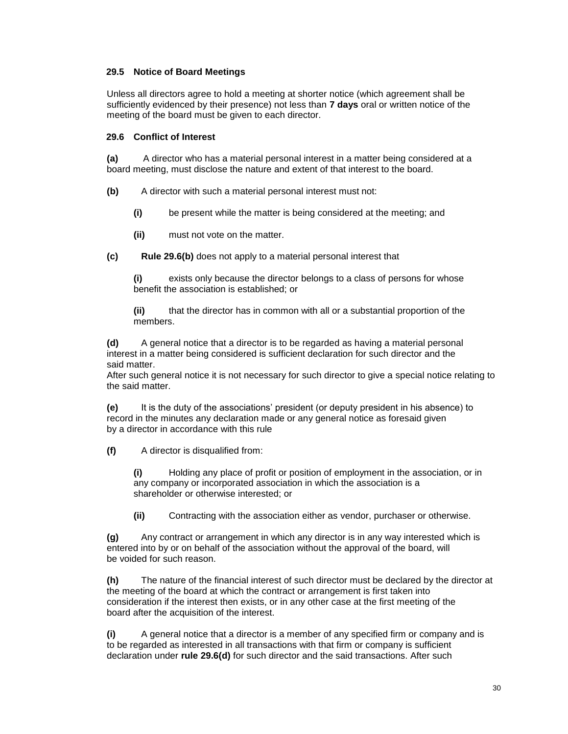## **29.5 Notice of Board Meetings**

Unless all directors agree to hold a meeting at shorter notice (which agreement shall be sufficiently evidenced by their presence) not less than **7 days** oral or written notice of the meeting of the board must be given to each director.

#### **29.6 Conflict of Interest**

**(a)** A director who has a material personal interest in a matter being considered at a board meeting, must disclose the nature and extent of that interest to the board.

**(b)** A director with such a material personal interest must not:

- **(i)** be present while the matter is being considered at the meeting; and
- **(ii)** must not vote on the matter.
- **(c) Rule 29.6(b)** does not apply to a material personal interest that

exists only because the director belongs to a class of persons for whose benefit the association is established; or

**(ii)** that the director has in common with all or a substantial proportion of the members.

**(d)** A general notice that a director is to be regarded as having a material personal interest in a matter being considered is sufficient declaration for such director and the said matter.

After such general notice it is not necessary for such director to give a special notice relating to the said matter.

**(e)** It is the duty of the associations' president (or deputy president in his absence) to record in the minutes any declaration made or any general notice as foresaid given by a director in accordance with this rule

**(f)** A director is disqualified from:

**(i)** Holding any place of profit or position of employment in the association, or in any company or incorporated association in which the association is a shareholder or otherwise interested; or

**(ii)** Contracting with the association either as vendor, purchaser or otherwise.

**(g)** Any contract or arrangement in which any director is in any way interested which is entered into by or on behalf of the association without the approval of the board, will be voided for such reason.

**(h)** The nature of the financial interest of such director must be declared by the director at the meeting of the board at which the contract or arrangement is first taken into consideration if the interest then exists, or in any other case at the first meeting of the board after the acquisition of the interest.

**(i)** A general notice that a director is a member of any specified firm or company and is to be regarded as interested in all transactions with that firm or company is sufficient declaration under **rule 29.6(d)** for such director and the said transactions. After such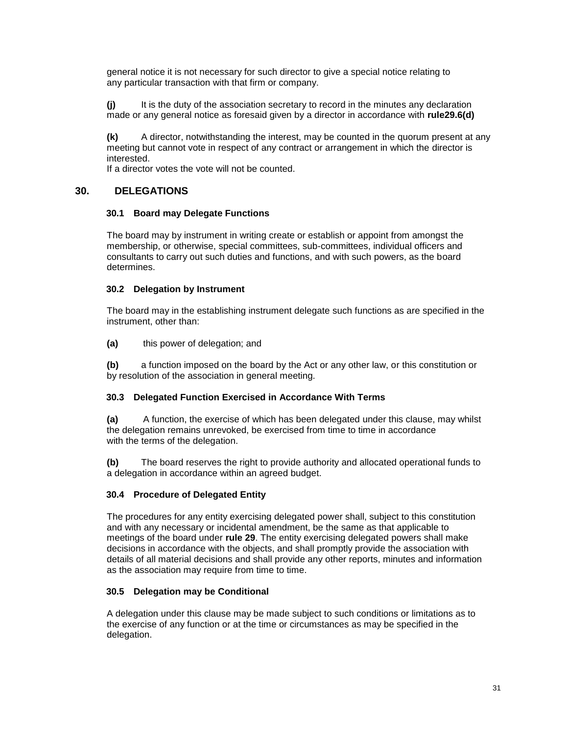general notice it is not necessary for such director to give a special notice relating to any particular transaction with that firm or company.

**(j)** It is the duty of the association secretary to record in the minutes any declaration made or any general notice as foresaid given by a director in accordance with **rule29.6(d)**

**(k)** A director, notwithstanding the interest, may be counted in the quorum present at any meeting but cannot vote in respect of any contract or arrangement in which the director is interested.

If a director votes the vote will not be counted.

## **30. DELEGATIONS**

#### **30.1 Board may Delegate Functions**

The board may by instrument in writing create or establish or appoint from amongst the membership, or otherwise, special committees, sub-committees, individual officers and consultants to carry out such duties and functions, and with such powers, as the board determines.

#### **30.2 Delegation by Instrument**

The board may in the establishing instrument delegate such functions as are specified in the instrument, other than:

**(a)** this power of delegation; and

**(b)** a function imposed on the board by the Act or any other law, or this constitution or by resolution of the association in general meeting.

## **30.3 Delegated Function Exercised in Accordance With Terms**

**(a)** A function, the exercise of which has been delegated under this clause, may whilst the delegation remains unrevoked, be exercised from time to time in accordance with the terms of the delegation.

**(b)** The board reserves the right to provide authority and allocated operational funds to a delegation in accordance within an agreed budget.

#### **30.4 Procedure of Delegated Entity**

The procedures for any entity exercising delegated power shall, subject to this constitution and with any necessary or incidental amendment, be the same as that applicable to meetings of the board under **rule 29**. The entity exercising delegated powers shall make decisions in accordance with the objects, and shall promptly provide the association with details of all material decisions and shall provide any other reports, minutes and information as the association may require from time to time.

#### **30.5 Delegation may be Conditional**

A delegation under this clause may be made subject to such conditions or limitations as to the exercise of any function or at the time or circumstances as may be specified in the delegation.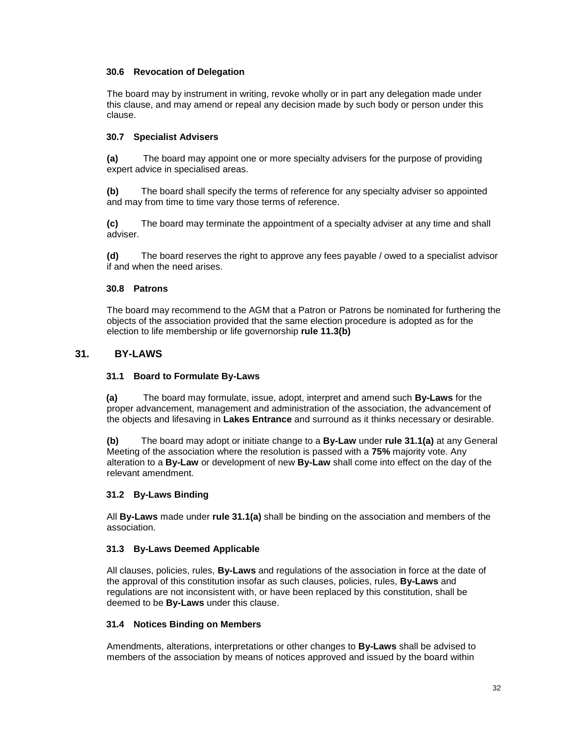## **30.6 Revocation of Delegation**

The board may by instrument in writing, revoke wholly or in part any delegation made under this clause, and may amend or repeal any decision made by such body or person under this clause.

## **30.7 Specialist Advisers**

**(a)** The board may appoint one or more specialty advisers for the purpose of providing expert advice in specialised areas.

**(b)** The board shall specify the terms of reference for any specialty adviser so appointed and may from time to time vary those terms of reference.

**(c)** The board may terminate the appointment of a specialty adviser at any time and shall adviser.

**(d)** The board reserves the right to approve any fees payable / owed to a specialist advisor if and when the need arises.

## **30.8 Patrons**

The board may recommend to the AGM that a Patron or Patrons be nominated for furthering the objects of the association provided that the same election procedure is adopted as for the election to life membership or life governorship **rule 11.3(b)**

## **31. BY-LAWS**

#### **31.1 Board to Formulate By-Laws**

**(a)** The board may formulate, issue, adopt, interpret and amend such **By-Laws** for the proper advancement, management and administration of the association, the advancement of the objects and lifesaving in **Lakes Entrance** and surround as it thinks necessary or desirable.

**(b)** The board may adopt or initiate change to a **By-Law** under **rule 31.1(a)** at any General Meeting of the association where the resolution is passed with a **75%** majority vote. Any alteration to a **By-Law** or development of new **By-Law** shall come into effect on the day of the relevant amendment.

## **31.2 By-Laws Binding**

All **By-Laws** made under **rule 31.1(a)** shall be binding on the association and members of the association.

#### **31.3 By-Laws Deemed Applicable**

All clauses, policies, rules, **By-Laws** and regulations of the association in force at the date of the approval of this constitution insofar as such clauses, policies, rules, **By-Laws** and regulations are not inconsistent with, or have been replaced by this constitution, shall be deemed to be **By-Laws** under this clause.

#### **31.4 Notices Binding on Members**

Amendments, alterations, interpretations or other changes to **By-Laws** shall be advised to members of the association by means of notices approved and issued by the board within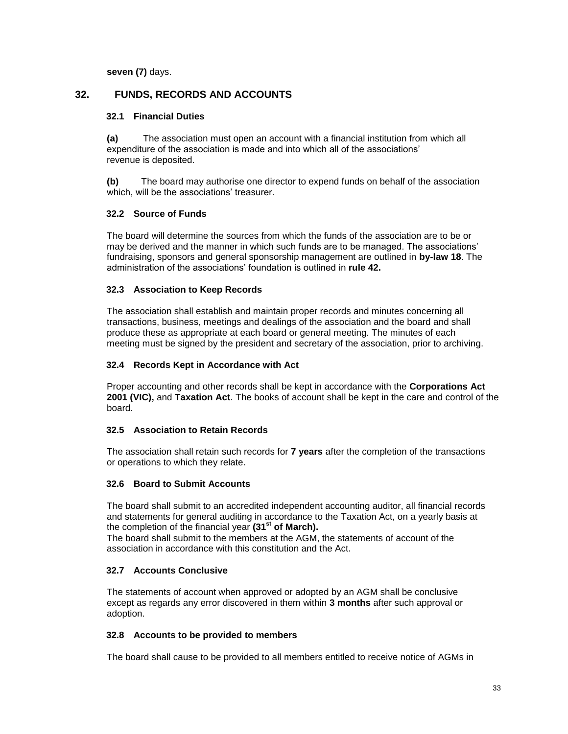**seven (7)** days.

## **32. FUNDS, RECORDS AND ACCOUNTS**

## **32.1 Financial Duties**

**(a)** The association must open an account with a financial institution from which all expenditure of the association is made and into which all of the associations' revenue is deposited.

**(b)** The board may authorise one director to expend funds on behalf of the association which, will be the associations' treasurer.

## **32.2 Source of Funds**

The board will determine the sources from which the funds of the association are to be or may be derived and the manner in which such funds are to be managed. The associations' fundraising, sponsors and general sponsorship management are outlined in **by-law 18**. The administration of the associations' foundation is outlined in **rule 42.**

## **32.3 Association to Keep Records**

The association shall establish and maintain proper records and minutes concerning all transactions, business, meetings and dealings of the association and the board and shall produce these as appropriate at each board or general meeting. The minutes of each meeting must be signed by the president and secretary of the association, prior to archiving.

## **32.4 Records Kept in Accordance with Act**

Proper accounting and other records shall be kept in accordance with the **Corporations Act 2001 (VIC),** and **Taxation Act**. The books of account shall be kept in the care and control of the board.

## **32.5 Association to Retain Records**

The association shall retain such records for **7 years** after the completion of the transactions or operations to which they relate.

## **32.6 Board to Submit Accounts**

The board shall submit to an accredited independent accounting auditor, all financial records and statements for general auditing in accordance to the Taxation Act, on a yearly basis at the completion of the financial year **(31st of March).**

The board shall submit to the members at the AGM, the statements of account of the association in accordance with this constitution and the Act.

## **32.7 Accounts Conclusive**

The statements of account when approved or adopted by an AGM shall be conclusive except as regards any error discovered in them within **3 months** after such approval or adoption.

## **32.8 Accounts to be provided to members**

The board shall cause to be provided to all members entitled to receive notice of AGMs in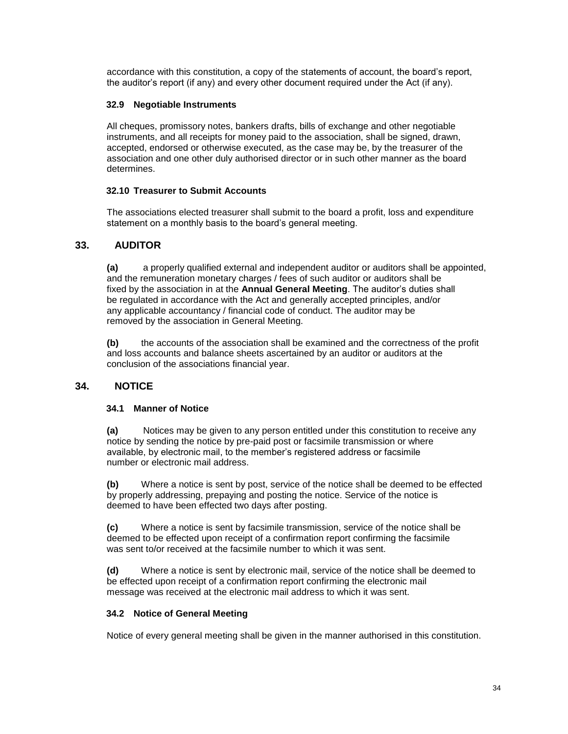accordance with this constitution, a copy of the statements of account, the board's report, the auditor's report (if any) and every other document required under the Act (if any).

## **32.9 Negotiable Instruments**

All cheques, promissory notes, bankers drafts, bills of exchange and other negotiable instruments, and all receipts for money paid to the association, shall be signed, drawn, accepted, endorsed or otherwise executed, as the case may be, by the treasurer of the association and one other duly authorised director or in such other manner as the board determines.

## **32.10 Treasurer to Submit Accounts**

The associations elected treasurer shall submit to the board a profit, loss and expenditure statement on a monthly basis to the board's general meeting.

## **33. AUDITOR**

**(a)** a properly qualified external and independent auditor or auditors shall be appointed, and the remuneration monetary charges / fees of such auditor or auditors shall be fixed by the association in at the **Annual General Meeting**. The auditor's duties shall be regulated in accordance with the Act and generally accepted principles, and/or any applicable accountancy / financial code of conduct. The auditor may be removed by the association in General Meeting.

**(b)** the accounts of the association shall be examined and the correctness of the profit and loss accounts and balance sheets ascertained by an auditor or auditors at the conclusion of the associations financial year.

## **34. NOTICE**

## **34.1 Manner of Notice**

**(a)** Notices may be given to any person entitled under this constitution to receive any notice by sending the notice by pre-paid post or facsimile transmission or where available, by electronic mail, to the member's registered address or facsimile number or electronic mail address.

**(b)** Where a notice is sent by post, service of the notice shall be deemed to be effected by properly addressing, prepaying and posting the notice. Service of the notice is deemed to have been effected two days after posting.

**(c)** Where a notice is sent by facsimile transmission, service of the notice shall be deemed to be effected upon receipt of a confirmation report confirming the facsimile was sent to/or received at the facsimile number to which it was sent.

**(d)** Where a notice is sent by electronic mail, service of the notice shall be deemed to be effected upon receipt of a confirmation report confirming the electronic mail message was received at the electronic mail address to which it was sent.

## **34.2 Notice of General Meeting**

Notice of every general meeting shall be given in the manner authorised in this constitution.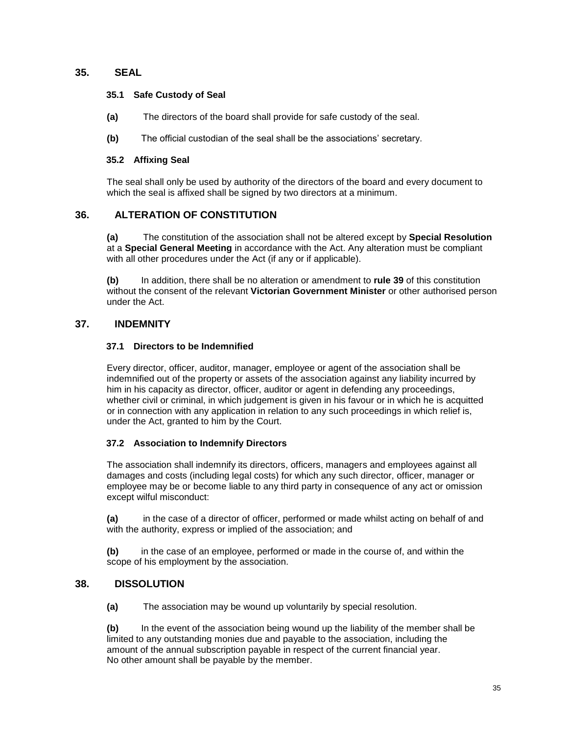## **35. SEAL**

#### **35.1 Safe Custody of Seal**

- **(a)** The directors of the board shall provide for safe custody of the seal.
- **(b)** The official custodian of the seal shall be the associations' secretary.

## **35.2 Affixing Seal**

The seal shall only be used by authority of the directors of the board and every document to which the seal is affixed shall be signed by two directors at a minimum.

## **36. ALTERATION OF CONSTITUTION**

**(a)** The constitution of the association shall not be altered except by **Special Resolution** at a **Special General Meeting** in accordance with the Act. Any alteration must be compliant with all other procedures under the Act (if any or if applicable).

**(b)** In addition, there shall be no alteration or amendment to **rule 39** of this constitution without the consent of the relevant **Victorian Government Minister** or other authorised person under the Act.

## **37. INDEMNITY**

## **37.1 Directors to be Indemnified**

Every director, officer, auditor, manager, employee or agent of the association shall be indemnified out of the property or assets of the association against any liability incurred by him in his capacity as director, officer, auditor or agent in defending any proceedings, whether civil or criminal, in which judgement is given in his favour or in which he is acquitted or in connection with any application in relation to any such proceedings in which relief is, under the Act, granted to him by the Court.

## **37.2 Association to Indemnify Directors**

The association shall indemnify its directors, officers, managers and employees against all damages and costs (including legal costs) for which any such director, officer, manager or employee may be or become liable to any third party in consequence of any act or omission except wilful misconduct:

**(a)** in the case of a director of officer, performed or made whilst acting on behalf of and with the authority, express or implied of the association; and

**(b)** in the case of an employee, performed or made in the course of, and within the scope of his employment by the association.

## **38. DISSOLUTION**

**(a)** The association may be wound up voluntarily by special resolution.

**(b)** In the event of the association being wound up the liability of the member shall be limited to any outstanding monies due and payable to the association, including the amount of the annual subscription payable in respect of the current financial year. No other amount shall be payable by the member.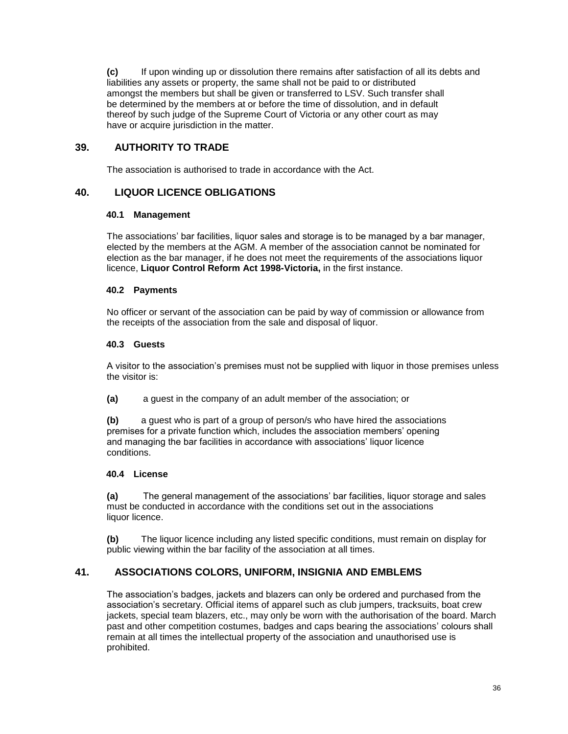**(c)** If upon winding up or dissolution there remains after satisfaction of all its debts and liabilities any assets or property, the same shall not be paid to or distributed amongst the members but shall be given or transferred to LSV. Such transfer shall be determined by the members at or before the time of dissolution, and in default thereof by such judge of the Supreme Court of Victoria or any other court as may have or acquire jurisdiction in the matter.

## **39. AUTHORITY TO TRADE**

The association is authorised to trade in accordance with the Act.

## **40. LIQUOR LICENCE OBLIGATIONS**

## **40.1 Management**

The associations' bar facilities, liquor sales and storage is to be managed by a bar manager, elected by the members at the AGM. A member of the association cannot be nominated for election as the bar manager, if he does not meet the requirements of the associations liquor licence, **Liquor Control Reform Act 1998-Victoria,** in the first instance.

## **40.2 Payments**

No officer or servant of the association can be paid by way of commission or allowance from the receipts of the association from the sale and disposal of liquor.

## **40.3 Guests**

A visitor to the association's premises must not be supplied with liquor in those premises unless the visitor is:

**(a)** a guest in the company of an adult member of the association; or

**(b)** a guest who is part of a group of person/s who have hired the associations premises for a private function which, includes the association members' opening and managing the bar facilities in accordance with associations' liquor licence conditions.

## **40.4 License**

**(a)** The general management of the associations' bar facilities, liquor storage and sales must be conducted in accordance with the conditions set out in the associations liquor licence.

**(b)** The liquor licence including any listed specific conditions, must remain on display for public viewing within the bar facility of the association at all times.

## **41. ASSOCIATIONS COLORS, UNIFORM, INSIGNIA AND EMBLEMS**

The association's badges, jackets and blazers can only be ordered and purchased from the association's secretary. Official items of apparel such as club jumpers, tracksuits, boat crew jackets, special team blazers, etc., may only be worn with the authorisation of the board. March past and other competition costumes, badges and caps bearing the associations' colours shall remain at all times the intellectual property of the association and unauthorised use is prohibited.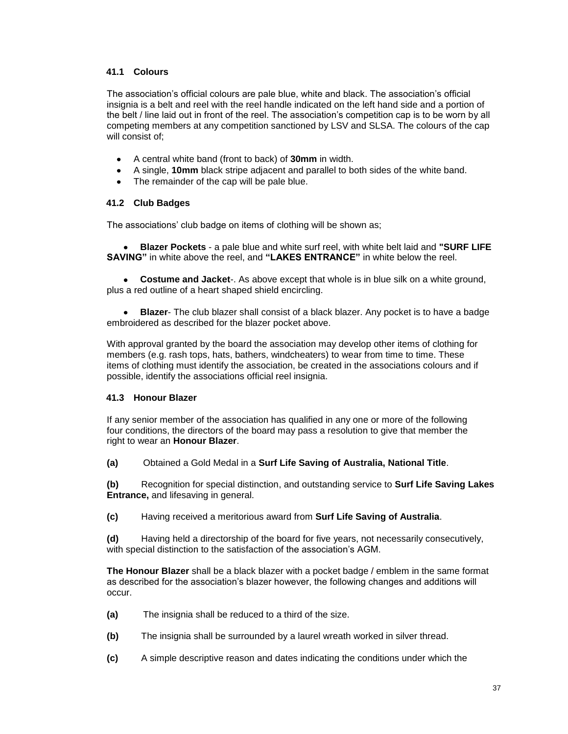## **41.1 Colours**

The association's official colours are pale blue, white and black. The association's official insignia is a belt and reel with the reel handle indicated on the left hand side and a portion of the belt / line laid out in front of the reel. The association's competition cap is to be worn by all competing members at any competition sanctioned by LSV and SLSA. The colours of the cap will consist of;

- A central white band (front to back) of **30mm** in width.  $\bullet$
- A single, **10mm** black stripe adjacent and parallel to both sides of the white band.
- The remainder of the cap will be pale blue.  $\bullet$

## **41.2 Club Badges**

The associations' club badge on items of clothing will be shown as;

**Blazer Pockets** - a pale blue and white surf reel, with white belt laid and **"SURF LIFE SAVING"** in white above the reel, and **"LAKES ENTRANCE"** in white below the reel.

**Costume and Jacket**-. As above except that whole is in blue silk on a white ground,  $\bullet$ plus a red outline of a heart shaped shield encircling.

**Blazer**- The club blazer shall consist of a black blazer. Any pocket is to have a badge embroidered as described for the blazer pocket above.

With approval granted by the board the association may develop other items of clothing for members (e.g. rash tops, hats, bathers, windcheaters) to wear from time to time. These items of clothing must identify the association, be created in the associations colours and if possible, identify the associations official reel insignia.

## **41.3 Honour Blazer**

If any senior member of the association has qualified in any one or more of the following four conditions, the directors of the board may pass a resolution to give that member the right to wear an **Honour Blazer**.

**(a)** Obtained a Gold Medal in a **Surf Life Saving of Australia, National Title**.

**(b)** Recognition for special distinction, and outstanding service to **Surf Life Saving Lakes Entrance,** and lifesaving in general.

**(c)** Having received a meritorious award from **Surf Life Saving of Australia**.

**(d)** Having held a directorship of the board for five years, not necessarily consecutively, with special distinction to the satisfaction of the association's AGM.

**The Honour Blazer** shall be a black blazer with a pocket badge / emblem in the same format as described for the association's blazer however, the following changes and additions will occur.

- **(a)** The insignia shall be reduced to a third of the size.
- **(b)** The insignia shall be surrounded by a laurel wreath worked in silver thread.
- **(c)** A simple descriptive reason and dates indicating the conditions under which the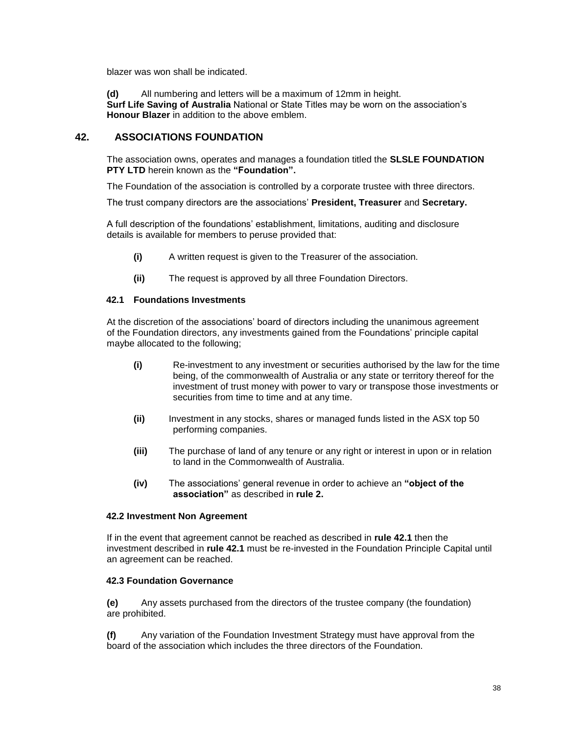blazer was won shall be indicated.

**(d)** All numbering and letters will be a maximum of 12mm in height. **Surf Life Saving of Australia** National or State Titles may be worn on the association's **Honour Blazer** in addition to the above emblem.

## **42. ASSOCIATIONS FOUNDATION**

The association owns, operates and manages a foundation titled the **SLSLE FOUNDATION PTY LTD** herein known as the **"Foundation".**

The Foundation of the association is controlled by a corporate trustee with three directors.

The trust company directors are the associations' **President, Treasurer** and **Secretary.**

A full description of the foundations' establishment, limitations, auditing and disclosure details is available for members to peruse provided that:

- **(i)** A written request is given to the Treasurer of the association.
- **(ii)** The request is approved by all three Foundation Directors.

## **42.1 Foundations Investments**

At the discretion of the associations' board of directors including the unanimous agreement of the Foundation directors, any investments gained from the Foundations' principle capital maybe allocated to the following;

- **(i)** Re-investment to any investment or securities authorised by the law for the time being, of the commonwealth of Australia or any state or territory thereof for the investment of trust money with power to vary or transpose those investments or securities from time to time and at any time.
- **(ii)** Investment in any stocks, shares or managed funds listed in the ASX top 50 performing companies.
- **(iii)** The purchase of land of any tenure or any right or interest in upon or in relation to land in the Commonwealth of Australia.
- **(iv)** The associations' general revenue in order to achieve an **"object of the association"** as described in **rule 2.**

#### **42.2 Investment Non Agreement**

If in the event that agreement cannot be reached as described in **rule 42.1** then the investment described in **rule 42.1** must be re-invested in the Foundation Principle Capital until an agreement can be reached.

## **42.3 Foundation Governance**

**(e)** Any assets purchased from the directors of the trustee company (the foundation) are prohibited.

**(f)** Any variation of the Foundation Investment Strategy must have approval from the board of the association which includes the three directors of the Foundation.